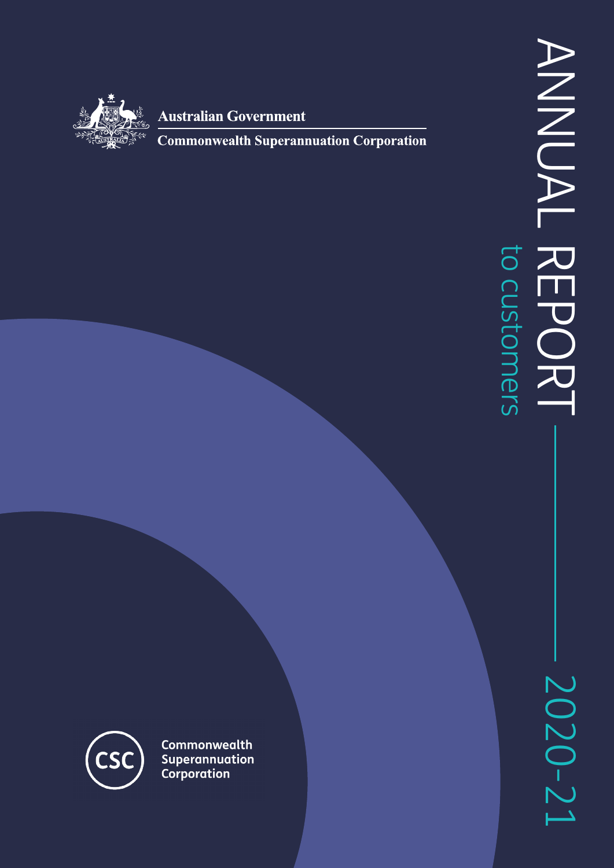

**Australian Government** 

**Commonwealth Superannuation Corporation** 

2020-21

**CSO** 

Commonwealth Superannuation Corporation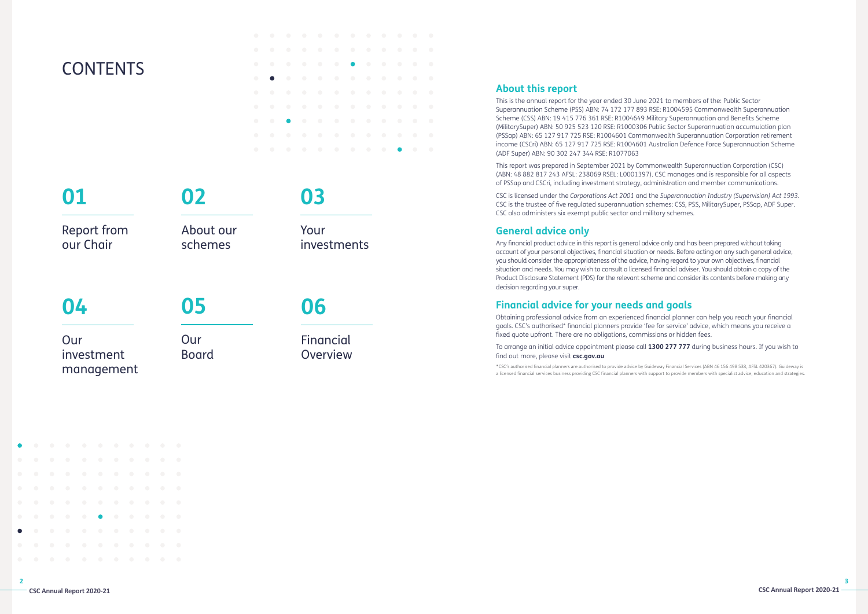Report from our Chair

> **Our** Board

# **CONTENTS**

# **01**

Our investment management

# **04**

About our

# schemes

**02**

**05**

Your

investments

**03**

Financial Overview

**06**

# **About this report**

This is the annual report for the year ended 30 June 2021 to members of the: Public Sector Superannuation Scheme (PSS) ABN: 74 172 177 893 RSE: R1004595 Commonwealth Superannuation Scheme (CSS) ABN: 19 415 776 361 RSE: R1004649 Military Superannuation and Benefits Scheme (MilitarySuper) ABN: 50 925 523 120 RSE: R1000306 Public Sector Superannuation accumulation plan (PSSap) ABN: 65 127 917 725 RSE: R1004601 Commonwealth Superannuation Corporation retirement income (CSCri) ABN: 65 127 917 725 RSE: R1004601 Australian Defence Force Superannuation Scheme (ADF Super) ABN: 90 302 247 344 RSE: R1077063

This report was prepared in September 2021 by Commonwealth Superannuation Corporation (CSC) (ABN: 48 882 817 243 AFSL: 238069 RSEL: L0001397). CSC manages and is responsible for all aspects of PSSap and CSCri, including investment strategy, administration and member communications.

CSC is licensed under the *Corporations Act 2001* and the *Superannuation Industry (Supervision) Act 1993*. CSC is the trustee of five regulated superannuation schemes: CSS, PSS, MilitarySuper, PSSap, ADF Super. CSC also administers six exempt public sector and military schemes.

# **General advice only**

Any financial product advice in this report is general advice only and has been prepared without taking account of your personal objectives, financial situation or needs. Before acting on any such general advice, you should consider the appropriateness of the advice, having regard to your own objectives, financial situation and needs. You may wish to consult a licensed financial adviser. You should obtain a copy of the Product Disclosure Statement (PDS) for the relevant scheme and consider its contents before making any decision regarding your super.

# **Financial advice for your needs and goals**

Obtaining professional advice from an experienced financial planner can help you reach your financial goals. CSC's authorised\* financial planners provide 'fee for service' advice, which means you receive a fixed quote upfront. There are no obligations, commissions or hidden fees.

To arrange an initial advice appointment please call **1300 277 777** during business hours. If you wish to find out more, please visit **csc.gov.au**

\*CSC's authorised financial planners are authorised to provide advice by Guideway Financial Services (ABN 46 156 498 538, AFSL 420367). Guideway is a licensed financial services business providing CSC financial planners with support to provide members with specialist advice, education and strategies.

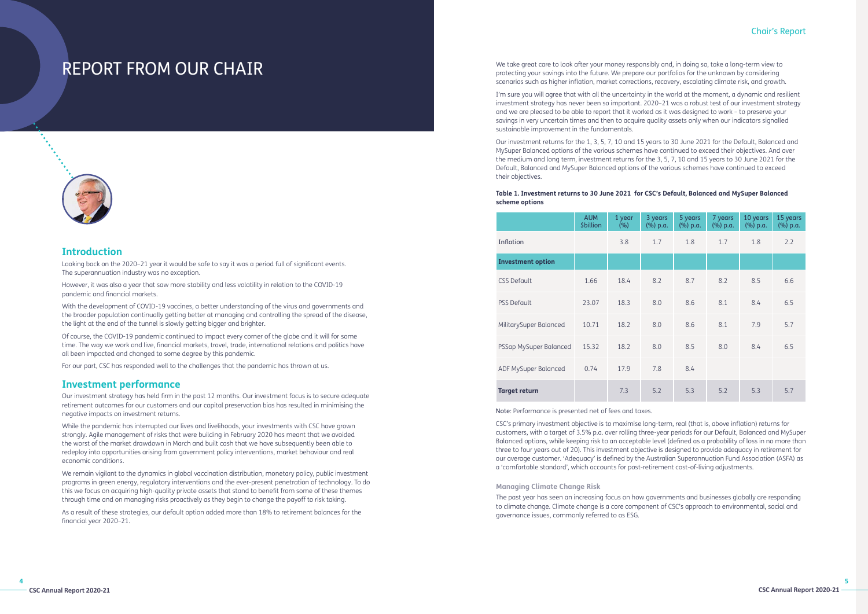**4**

# Chair's Report

# REPORT FROM OUR CHAIR



# **Introduction**

Looking back on the 2020–21 year it would be safe to say it was a period full of significant events. The superannuation industry was no exception.

However, it was also a year that saw more stability and less volatility in relation to the COVID-19 pandemic and financial markets.

With the development of COVID-19 vaccines, a better understanding of the virus and governments and the broader population continually getting better at managing and controlling the spread of the disease, the light at the end of the tunnel is slowly getting bigger and brighter.

Of course, the COVID-19 pandemic continued to impact every corner of the globe and it will for some time. The way we work and live, financial markets, travel, trade, international relations and politics have all been impacted and changed to some degree by this pandemic.

For our part, CSC has responded well to the challenges that the pandemic has thrown at us.

# **Investment performance**

Our investment strategy has held firm in the past 12 months. Our investment focus is to secure adequate retirement outcomes for our customers and our capital preservation bias has resulted in minimising the negative impacts on investment returns.

While the pandemic has interrupted our lives and livelihoods, your investments with CSC have grown strongly. Agile management of risks that were building in February 2020 has meant that we avoided the worst of the market drawdown in March and built cash that we have subsequently been able to redeploy into opportunities arising from government policy interventions, market behaviour and real economic conditions.

We remain vigilant to the dynamics in global vaccination distribution, monetary policy, public investment programs in green energy, regulatory interventions and the ever-present penetration of technology. To do this we focus on acquiring high-quality private assets that stand to benefit from some of these themes through time and on managing risks proactively as they begin to change the payoff to risk taking.

As a result of these strategies, our default option added more than 18% to retirement balances for the financial year 2020–21.

We take great care to look after your money responsibly and, in doing so, take a long-term view to protecting your savings into the future. We prepare our portfolios for the unknown by considering scenarios such as higher inflation, market corrections, recovery, escalating climate risk, and growth.

I'm sure you will agree that with all the uncertainty in the world at the moment, a dynamic and resilient investment strategy has never been so important. 2020–21 was a robust test of our investment strategy and we are pleased to be able to report that it worked as it was designed to work – to preserve your savings in very uncertain times and then to acquire quality assets only when our indicators signalled sustainable improvement in the fundamentals.

Our investment returns for the 1, 3, 5, 7, 10 and 15 years to 30 June 2021 for the Default, Balanced and MySuper Balanced options of the various schemes have continued to exceed their objectives. And over the medium and long term, investment returns for the 3, 5, 7, 10 and 15 years to 30 June 2021 for the Default, Balanced and MySuper Balanced options of the various schemes have continued to exceed their objectives.

# **Table 1. Investment returns to 30 June 2021 for CSC's Default, Balanced and MySuper Balanced scheme options**

|                          | <b>AUM</b><br><b>\$billion</b> | 1 year<br>(%) | 3 years<br>(%) p.a. | 5 years<br>(%) p.a. | 7 years<br>(%) p.a. | 10 years<br>(%) p.a. | 15 years<br>(%) p.a. |
|--------------------------|--------------------------------|---------------|---------------------|---------------------|---------------------|----------------------|----------------------|
| Inflation                |                                | 3.8           | 1.7                 | 1.8                 | 1.7                 | 1.8                  | 2.2                  |
| <b>Investment option</b> |                                |               |                     |                     |                     |                      |                      |
| <b>CSS Default</b>       | 1.66                           | 18.4          | 8.2                 | 8.7                 | 8.2                 | 8.5                  | 6.6                  |
| <b>PSS Default</b>       | 23.07                          | 18.3          | 8.0                 | 8.6                 | 8.1                 | 8.4                  | 6.5                  |
| MilitarySuper Balanced   | 10.71                          | 18.2          | 8.0                 | 8.6                 | 8.1                 | 7.9                  | 5.7                  |
| PSSap MySuper Balanced   | 15.32                          | 18.2          | 8.0                 | 8.5                 | 8.0                 | 8.4                  | 6.5                  |
| ADF MySuper Balanced     | 0.74                           | 17.9          | 7.8                 | 8.4                 |                     |                      |                      |
| <b>Target return</b>     |                                | 7.3           | 5.2                 | 5.3                 | 5.2                 | 5.3                  | 5.7                  |

Note: Performance is presented net of fees and taxes.

CSC's primary investment objective is to maximise long-term, real (that is, above inflation) returns for customers, with a target of 3.5% p.a. over rolling three-year periods for our Default, Balanced and MySuper Balanced options, while keeping risk to an acceptable level (defined as a probability of loss in no more than three to four years out of 20). This investment objective is designed to provide adequacy in retirement for our average customer. 'Adequacy' is defined by the Australian Superannuation Fund Association (ASFA) as a 'comfortable standard', which accounts for post-retirement cost-of-living adjustments.

# **Managing Climate Change Risk**

The past year has seen an increasing focus on how governments and businesses globally are responding to climate change. Climate change is a core component of CSC's approach to environmental, social and governance issues, commonly referred to as ESG.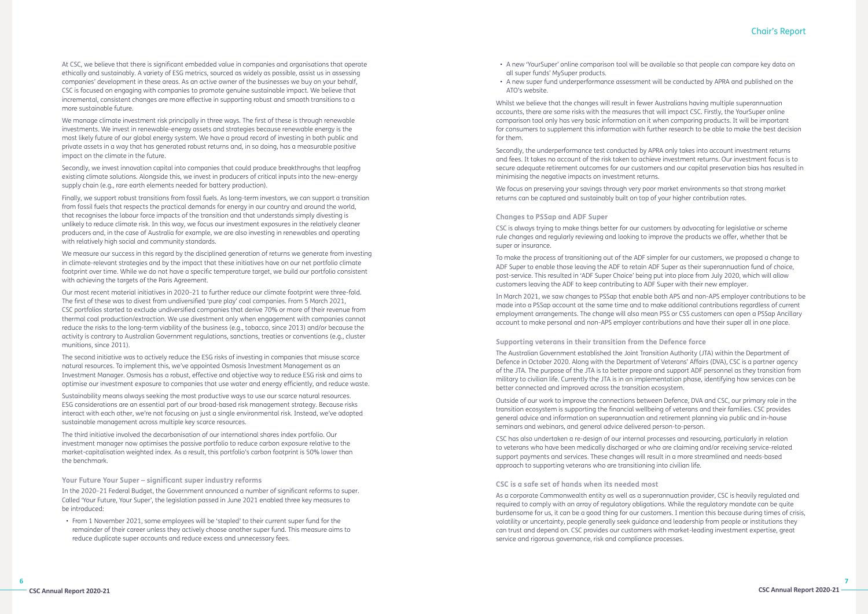**6**

# Chair's Report

At CSC, we believe that there is significant embedded value in companies and organisations that operate ethically and sustainably. A variety of ESG metrics, sourced as widely as possible, assist us in assessing companies' development in these areas. As an active owner of the businesses we buy on your behalf, CSC is focused on engaging with companies to promote genuine sustainable impact. We believe that incremental, consistent changes are more effective in supporting robust and smooth transitions to a more sustainable future.

We manage climate investment risk principally in three ways. The first of these is through renewable investments. We invest in renewable-energy assets and strategies because renewable energy is the most likely future of our global energy system. We have a proud record of investing in both public and private assets in a way that has generated robust returns and, in so doing, has a measurable positive impact on the climate in the future.

Secondly, we invest innovation capital into companies that could produce breakthroughs that leapfrog existing climate solutions. Alongside this, we invest in producers of critical inputs into the new-energy supply chain (e.g., rare earth elements needed for battery production).

Finally, we support robust transitions from fossil fuels. As long-term investors, we can support a transition from fossil fuels that respects the practical demands for energy in our country and around the world, that recognises the labour force impacts of the transition and that understands simply divesting is unlikely to reduce climate risk. In this way, we focus our investment exposures in the relatively cleaner producers and, in the case of Australia for example, we are also investing in renewables and operating with relatively high social and community standards.

We measure our success in this regard by the disciplined generation of returns we generate from investing in climate-relevant strategies and by the impact that these initiatives have on our net portfolio climate footprint over time. While we do not have a specific temperature target, we build our portfolio consistent with achieving the targets of the Paris Agreement.

Our most recent material initiatives in 2020–21 to further reduce our climate footprint were three-fold. The first of these was to divest from undiversified 'pure play' coal companies. From 5 March 2021, CSC portfolios started to exclude undiversified companies that derive 70% or more of their revenue from thermal coal production/extraction. We use divestment only when engagement with companies cannot reduce the risks to the long-term viability of the business (e.g., tobacco, since 2013) and/or because the activity is contrary to Australian Government regulations, sanctions, treaties or conventions (e.g., cluster munitions, since 2011).

The second initiative was to actively reduce the ESG risks of investing in companies that misuse scarce natural resources. To implement this, we've appointed Osmosis Investment Management as an Investment Manager. Osmosis has a robust, effective and objective way to reduce ESG risk and aims to optimise our investment exposure to companies that use water and energy efficiently, and reduce waste.

Sustainability means always seeking the most productive ways to use our scarce natural resources. ESG considerations are an essential part of our broad-based risk management strategy. Because risks interact with each other, we're not focusing on just a single environmental risk. Instead, we've adopted sustainable management across multiple key scarce resources.

The third initiative involved the decarbonisation of our international shares index portfolio. Our investment manager now optimises the passive portfolio to reduce carbon exposure relative to the market-capitalisation weighted index. As a result, this portfolio's carbon footprint is 50% lower than the benchmark.

**Your Future Your Super – significant super industry reforms**

In the 2020–21 Federal Budget, the Government announced a number of significant reforms to super. Called 'Your Future, Your Super', the legislation passed in June 2021 enabled three key measures to be introduced:

• From 1 November 2021, some employees will be 'stapled' to their current super fund for the remainder of their career unless they actively choose another super fund. This measure aims to reduce duplicate super accounts and reduce excess and unnecessary fees.

- A new 'YourSuper' online comparison tool will be available so that people can compare key data on all super funds' MySuper products.
- A new super fund underperformance assessment will be conducted by APRA and published on the ATO's website.

Whilst we believe that the changes will result in fewer Australians having multiple superannuation accounts, there are some risks with the measures that will impact CSC. Firstly, the YourSuper online comparison tool only has very basic information on it when comparing products. It will be important for consumers to supplement this information with further research to be able to make the best decision for them.

Secondly, the underperformance test conducted by APRA only takes into account investment returns and fees. It takes no account of the risk taken to achieve investment returns. Our investment focus is to secure adequate retirement outcomes for our customers and our capital preservation bias has resulted in minimising the negative impacts on investment returns.

We focus on preserving your savings through very poor market environments so that strong market returns can be captured and sustainably built on top of your higher contribution rates.

### **Changes to PSSap and ADF Super**

CSC is always trying to make things better for our customers by advocating for legislative or scheme rule changes and regularly reviewing and looking to improve the products we offer, whether that be super or insurance.

To make the process of transitioning out of the ADF simpler for our customers, we proposed a change to ADF Super to enable those leaving the ADF to retain ADF Super as their superannuation fund of choice, post-service. This resulted in 'ADF Super Choice' being put into place from July 2020, which will allow customers leaving the ADF to keep contributing to ADF Super with their new employer.

In March 2021, we saw changes to PSSap that enable both APS and non-APS employer contributions to be made into a PSSap account at the same time and to make additional contributions regardless of current employment arrangements. The change will also mean PSS or CSS customers can open a PSSap Ancillary account to make personal and non-APS employer contributions and have their super all in one place.

**Supporting veterans in their transition from the Defence force** The Australian Government established the Joint Transition Authority (JTA) within the Department of Defence in October 2020. Along with the Department of Veterans' Affairs (DVA), CSC is a partner agency of the JTA. The purpose of the JTA is to better prepare and support ADF personnel as they transition from military to civilian life. Currently the JTA is in an implementation phase, identifying how services can be better connected and improved across the transition ecosystem.

Outside of our work to improve the connections between Defence, DVA and CSC, our primary role in the transition ecosystem is supporting the financial wellbeing of veterans and their families. CSC provides general advice and information on superannuation and retirement planning via public and in-house seminars and webinars, and general advice delivered person-to-person.

CSC has also undertaken a re-design of our internal processes and resourcing, particularly in relation to veterans who have been medically discharged or who are claiming and/or receiving service-related support payments and services. These changes will result in a more streamlined and needs-based approach to supporting veterans who are transitioning into civilian life.

# **CSC is a safe set of hands when its needed most**

As a corporate Commonwealth entity as well as a superannuation provider, CSC is heavily regulated and required to comply with an array of regulatory obligations. While the regulatory mandate can be quite burdensome for us, it can be a good thing for our customers. I mention this because during times of crisis, volatility or uncertainty, people generally seek guidance and leadership from people or institutions they can trust and depend on. CSC provides our customers with market-leading investment expertise, great service and rigorous governance, risk and compliance processes.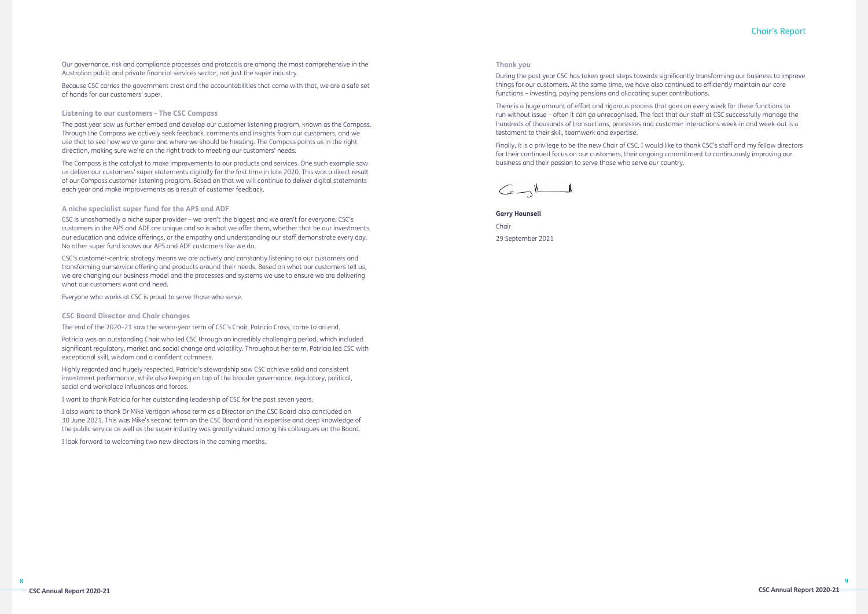# Chair's Report

Our governance, risk and compliance processes and protocols are among the most comprehensive in the Australian public and private financial services sector, not just the super industry.

Because CSC carries the government crest and the accountabilities that come with that, we are a safe set of hands for our customers' super.

# **Listening to our customers - The CSC Compass**

The past year saw us further embed and develop our customer listening program, known as the Compass. Through the Compass we actively seek feedback, comments and insights from our customers, and we use that to see how we've gone and where we should be heading. The Compass points us in the right direction, making sure we're on the right track to meeting our customers' needs.

The Compass is the catalyst to make improvements to our products and services. One such example saw us deliver our customers' super statements digitally for the first time in late 2020. This was a direct result of our Compass customer listening program. Based on that we will continue to deliver digital statements each year and make improvements as a result of customer feedback.

# **A niche specialist super fund for the APS and ADF**

CSC is unashamedly a niche super provider – we aren't the biggest and we aren't for everyone. CSC's customers in the APS and ADF are unique and so is what we offer them, whether that be our investments, our education and advice offerings, or the empathy and understanding our staff demonstrate every day. No other super fund knows our APS and ADF customers like we do.

CSC's customer-centric strategy means we are actively and constantly listening to our customers and transforming our service offering and products around their needs. Based on what our customers tell us, we are changing our business model and the processes and systems we use to ensure we are delivering what our customers want and need.

Everyone who works at CSC is proud to serve those who serve.

# **CSC Board Director and Chair changes**

The end of the 2020–21 saw the seven-year term of CSC's Chair, Patricia Cross, come to an end.

Patricia was an outstanding Chair who led CSC through an incredibly challenging period, which included significant regulatory, market and social change and volatility. Throughout her term, Patricia led CSC with exceptional skill, wisdom and a confident calmness.

Highly regarded and hugely respected, Patricia's stewardship saw CSC achieve solid and consistent investment performance, while also keeping on top of the broader governance, regulatory, political, social and workplace influences and forces.

I want to thank Patricia for her outstanding leadership of CSC for the past seven years.

I also want to thank Dr Mike Vertigan whose term as a Director on the CSC Board also concluded on 30 June 2021. This was Mike's second term on the CSC Board and his expertise and deep knowledge of the public service as well as the super industry was greatly valued among his colleagues on the Board.

I look forward to welcoming two new directors in the coming months.

### **Thank you**

During the past year CSC has taken great steps towards significantly transforming our business to improve things for our customers. At the same time, we have also continued to efficiently maintain our core functions – investing, paying pensions and allocating super contributions.

There is a huge amount of effort and rigorous process that goes on every week for these functions to run without issue – often it can go unrecognised. The fact that our staff at CSC successfully manage the hundreds of thousands of transactions, processes and customer interactions week-in and week-out is a testament to their skill, teamwork and expertise.

Finally, it is a privilege to be the new Chair of CSC. I would like to thank CSC's staff and my fellow directors for their continued focus on our customers, their ongoing commitment to continuously improving our business and their passion to serve those who serve our country.

 $\begin{picture}(120,10) \put(0,0){\line(1,0){10}} \put(15,0){\line(1,0){10}} \put(15,0){\line(1,0){10}} \put(15,0){\line(1,0){10}} \put(15,0){\line(1,0){10}} \put(15,0){\line(1,0){10}} \put(15,0){\line(1,0){10}} \put(15,0){\line(1,0){10}} \put(15,0){\line(1,0){10}} \put(15,0){\line(1,0){10}} \put(15,0){\line(1,0){10}} \put(15,0){\line($ 

**Garry Hounsell** Chair 29 September 2021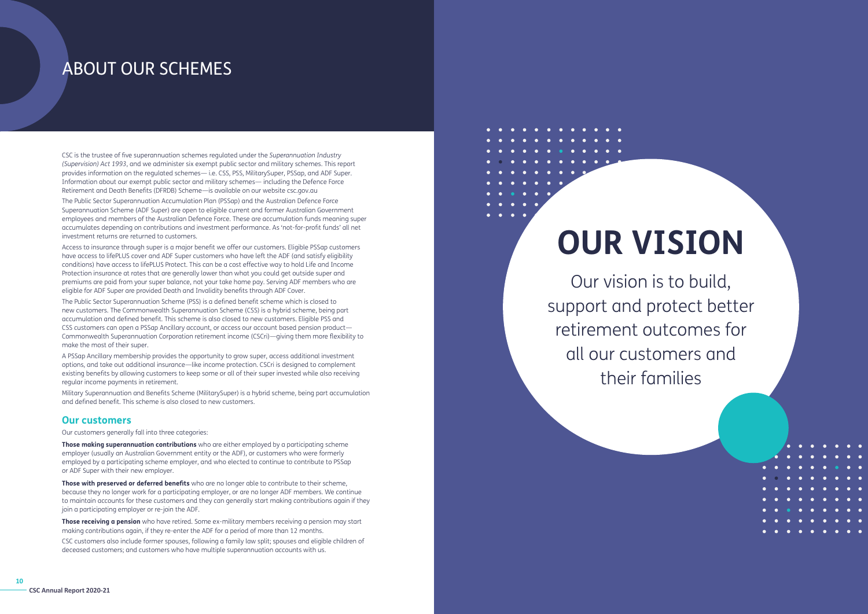# ABOUT OUR SCHEMES

CSC is the trustee of five superannuation schemes regulated under the *Superannuation Industry (Supervision) Act 1993*, and we administer six exempt public sector and military schemes. This report provides information on the regulated schemes— i.e. CSS, PSS, MilitarySuper, PSSap, and ADF Super. Information about our exempt public sector and military schemes— including the Defence Force Retirement and Death Benefits (DFRDB) Scheme—is available on our website csc.gov.au

The Public Sector Superannuation Accumulation Plan (PSSap) and the Australian Defence Force Superannuation Scheme (ADF Super) are open to eligible current and former Australian Government employees and members of the Australian Defence Force. These are accumulation funds meaning super accumulates depending on contributions and investment performance. As 'not-for-profit funds' all net investment returns are returned to customers.

Access to insurance through super is a major benefit we offer our customers. Eligible PSSap customers have access to lifePLUS cover and ADF Super customers who have left the ADF (and satisfy eligibility conditions) have access to lifePLUS Protect. This can be a cost effective way to hold Life and Income Protection insurance at rates that are generally lower than what you could get outside super and premiums are paid from your super balance, not your take home pay. Serving ADF members who are eligible for ADF Super are provided Death and Invalidity benefits through ADF Cover.

The Public Sector Superannuation Scheme (PSS) is a defined benefit scheme which is closed to new customers. The Commonwealth Superannuation Scheme (CSS) is a hybrid scheme, being part accumulation and defined benefit. This scheme is also closed to new customers. Eligible PSS and CSS customers can open a PSSap Ancillary account, or access our account based pension product— Commonwealth Superannuation Corporation retirement income (CSCri)—giving them more flexibility to make the most of their super.

A PSSap Ancillary membership provides the opportunity to grow super, access additional investment options, and take out additional insurance—like income protection. CSCri is designed to complement existing benefits by allowing customers to keep some or all of their super invested while also receiving regular income payments in retirement.

Military Superannuation and Benefits Scheme (MilitarySuper) is a hybrid scheme, being part accumulation and defined benefit. This scheme is also closed to new customers.

# **Our customers**

Our customers generally fall into three categories:

**Those making superannuation contributions** who are either employed by a participating scheme employer (usually an Australian Government entity or the ADF), or customers who were formerly employed by a participating scheme employer, and who elected to continue to contribute to PSSap or ADF Super with their new employer.

**Those with preserved or deferred benefits** who are no longer able to contribute to their scheme, because they no longer work for a participating employer, or are no longer ADF members. We continue to maintain accounts for these customers and they can generally start making contributions again if they join a participating employer or re-join the ADF.

**Those receiving a pension** who have retired. Some ex-military members receiving a pension may start making contributions again, if they re-enter the ADF for a period of more than 12 months.

CSC customers also include former spouses, following a family law split; spouses and eligible children of deceased customers; and customers who have multiple superannuation accounts with us.

# **OUR VISION**

Our vision is to build, support and protect better retirement outcomes for all our customers and their families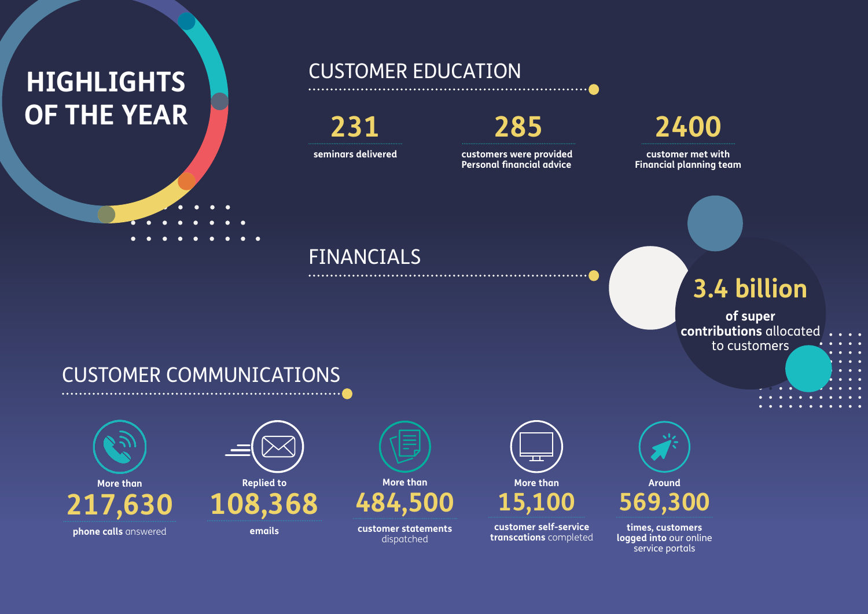# **HIGHLIGHTS OF THE YEAR**

# CUSTOMER EDUCATION

**seminars delivered customers were provided Personal financial advice**

**customer met with Financial planning team**



# CUSTOMER COMMUNICATIONS



**emails**

**Replied to 108,368**

> **customer statements**  dispatched



**customer self-service transcations** completed



**times, customers logged into** our online service portals



# FINANCIALS

# **3.4 billion**

# **of super contributions** allocated to customers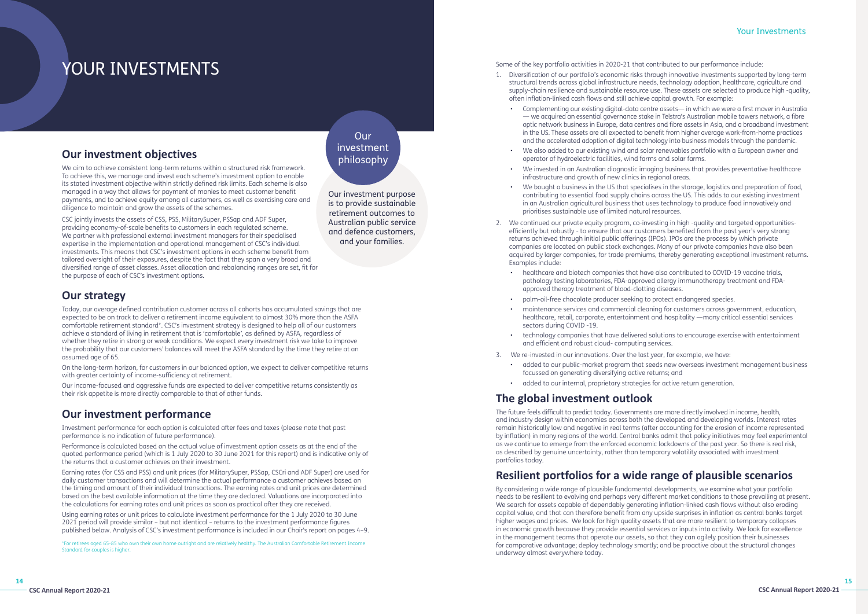**14**

# YOUR INVESTMENTS

# Your Investments

# **Our strategy**

Today, our average defined contribution customer across all cohorts has accumulated savings that are expected to be on track to deliver a retirement income equivalent to almost 30% more than the ASFA comfortable retirement standard\*. CSC's investment strategy is designed to help all of our customers achieve a standard of living in retirement that is 'comfortable', as defined by ASFA, regardless of whether they retire in strong or weak conditions. We expect every investment risk we take to improve the probability that our customers' balances will meet the ASFA standard by the time they retire at an assumed age of 65.

On the long-term horizon, for customers in our balanced option, we expect to deliver competitive returns with greater certainty of income-sufficiency at retirement.

Our income-focused and aggressive funds are expected to deliver competitive returns consistently as their risk appetite is more directly comparable to that of other funds.

# **Our investment performance**

Investment performance for each option is calculated after fees and taxes (please note that past performance is no indication of future performance).

Performance is calculated based on the actual value of investment option assets as at the end of the quoted performance period (which is 1 July 2020 to 30 June 2021 for this report) and is indicative only of the returns that a customer achieves on their investment.

Earning rates (for CSS and PSS) and unit prices (for MilitarySuper, PSSap, CSCri and ADF Super) are used for daily customer transactions and will determine the actual performance a customer achieves based on the timing and amount of their individual transactions. The earning rates and unit prices are determined based on the best available information at the time they are declared. Valuations are incorporated into the calculations for earning rates and unit prices as soon as practical after they are received.

Using earning rates or unit prices to calculate investment performance for the 1 July 2020 to 30 June 2021 period will provide similar – but not identical – returns to the investment performance figures published below. Analysis of CSC's investment performance is included in our Chair's report on pages 4–9.

# **Our investment objectives**

We aim to achieve consistent long-term returns within a structured risk framework. To achieve this, we manage and invest each scheme's investment option to enable its stated investment objective within strictly defined risk limits. Each scheme is also managed in a way that allows for payment of monies to meet customer benefit payments, and to achieve equity among all customers, as well as exercising care and diligence to maintain and grow the assets of the schemes.

CSC jointly invests the assets of CSS, PSS, MilitarySuper, PSSap and ADF Super, providing economy-of-scale benefits to customers in each regulated scheme. We partner with professional external investment managers for their specialised expertise in the implementation and operational management of CSC's individual investments. This means that CSC's investment options in each scheme benefit from tailored oversight of their exposures, despite the fact that they span a very broad and diversified range of asset classes. Asset allocation and rebalancing ranges are set, fit for the purpose of each of CSC's investment options.

# Our investment philosophy

Our investment purpose is to provide sustainable retirement outcomes to Australian public service and defence customers, and your families.

# Some of the key portfolio activities in 2020-21 that contributed to our performance include:

supply-chain resilience and sustainable resource use. These assets are selected to produce high -quality,

• Complementing our existing digital-data centre assets— in which we were a first mover in Australia — we acquired an essential governance stake in Telstra's Australian mobile towers network, a fibre optic network business in Europe, data centres and fibre assets in Asia, and a broadband investment in the US. These assets are all expected to benefit from higher average work-from-home practices and the accelerated adoption of digital technology into business models through the pandemic.

• We invested in an Australian diagnostic imaging business that provides preventative healthcare

• We bought a business in the US that specialises in the storage, logistics and preparation of food, contributing to essential food supply chains across the US. This adds to our existing investment in an Australian agricultural business that uses technology to produce food innovatively and

- 1. Diversification of our portfolio's economic risks through innovative investments supported by long-term structural trends across global infrastructure needs, technology adoption, healthcare, agriculture and often inflation-linked cash flows and still achieve capital growth. For example:
	-
	- We also added to our existing wind and solar renewables portfolio with a European owner and operator of hydroelectric facilities, wind farms and solar farms.
	- infrastructure and growth of new clinics in regional areas.
	- prioritises sustainable use of limited natural resources.
- 2. We continued our private equity program, co-investing in high -quality and targeted opportunitiesefficiently but robustly - to ensure that our customers benefited from the past year's very strong returns achieved through initial public offerings (IPOs). IPOs are the process by which private companies are located on public stock exchanges. Many of our private companies have also been Examples include:
	- healthcare and biotech companies that have also contributed to COVID-19 vaccine trials, pathology testing laboratories, FDA-approved allergy immunotherapy treatment and FDAapproved therapy treatment of blood-clotting diseases.
	- palm-oil-free chocolate producer seeking to protect endangered species.
	- sectors during COVID -19.
	- and efficient and robust cloud- computing services.
- 3. We re-invested in our innovations. Over the last year, for example, we have:
	-
	- focussed on generating diversifying active returns; and
	- added to our internal, proprietary strategies for active return generation.

acquired by larger companies, for trade premiums, thereby generating exceptional investment returns.

• maintenance services and commercial cleaning for customers across government, education, healthcare, retail, corporate, entertainment and hospitality —many critical essential services

• technology companies that have delivered solutions to encourage exercise with entertainment

• added to our public-market program that seeds new overseas investment management business

# **The global investment outlook**

The future feels difficult to predict today. Governments are more directly involved in income, health, and industry design within economies across both the developed and developing worlds. Interest rates remain historically low and negative in real terms (after accounting for the erosion of income represented by inflation) in many regions of the world. Central banks admit that policy initiatives may feel experimental as we continue to emerge from the enforced economic lockdowns of the past year. So there is real risk, as described by genuine uncertainty, rather than temporary volatility associated with investment portfolios today.

# **Resilient portfolios for a wide range of plausible scenarios**

By considering a wide range of plausible fundamental developments, we examine what your portfolio needs to be resilient to evolving and perhaps very different market conditions to those prevailing at present. We search for assets capable of dependably generating inflation-linked cash flows without also eroding capital value, and that can therefore benefit from any upside surprises in inflation as central banks target higher wages and prices. We look for high quality assets that are more resilient to temporary collapses in economic growth because they provide essential services or inputs into activity. We look for excellence in the management teams that operate our assets, so that they can agilely position their businesses for comparative advantage; deploy technology smartly; and be proactive about the structural changes underway almost everywhere today.

\*For retirees aged 65-85 who own their own home outright and are relatively healthy. The Australian Comfortable Retirement Income Standard for couples is higher.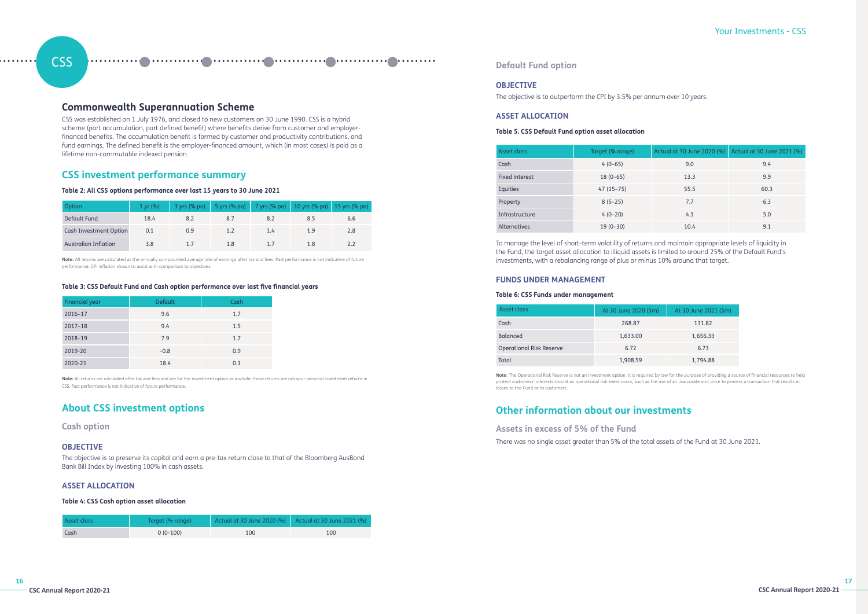# **CSS**

# **Commonwealth Superannuation Scheme**

CSS was established on 1 July 1976, and closed to new customers on 30 June 1990. CSS is a hybrid scheme (part accumulation, part defined benefit) where benefits derive from customer and employerfinanced benefits. The accumulation benefit is formed by customer and productivity contributions, and fund earnings. The defined benefit is the employer-financed amount, which (in most cases) is paid as a lifetime non-commutable indexed pension.

# **CSS investment performance summary**

# **Table 2: All CSS options performance over last 15 years to 30 June 2021**

| Option                      | $1 \text{ yr}$ (%) |     |     | 3 yrs (% pa) 5 yrs (% pa) 7 yrs (% pa) 10 yrs (% pa) 15 yrs (% pa) |     |     |
|-----------------------------|--------------------|-----|-----|--------------------------------------------------------------------|-----|-----|
| Default Fund                | 18.4               |     |     | 8.2                                                                | 8.5 | 6.6 |
| Cash Investment Option      | 0.1                | 0.9 |     | 1.4                                                                | 1.9 | 2.8 |
| <b>Australian Inflation</b> | 3.8                |     | 1.8 |                                                                    | 1.8 |     |

**Note:** All returns are calculated as the annually compounded average rate of earnings after tax and fees. Past performance is not indicative of future performance. CPI inflation shown to assist with comparison to objectives.

# **Table 3: CSS Default Fund and Cash option performance over last five financial years**

| Financial year | <b>Default</b> | Cash |
|----------------|----------------|------|
| 2016-17        | 9.6            | 1.7  |
| $2017 - 18$    | 9.4            | 1.5  |
| 2018-19        | 7.9            | 1.7  |
| 2019-20        | $-0.8$         | 0.9  |
| 2020-21        | 18.4           | 0.1  |

**Note:** All returns are calculated after tax and fees and are for the investment option as a whole; these returns are not your personal investment returns in CSS. Past performance is not indicative of future performance.

# **About CSS investment options**

**Cash option**

# **OBJECTIVE**

The objective is to preserve its capital and earn a pre-tax return close to that of the Bloomberg AusBond Bank Bill Index by investing 100% in cash assets.

# **ASSET ALLOCATION**

# **Table 4: CSS Cash option asset allocation**

| Asset class | Target (% range) | Actual at 30 June 2020 (%) Actual at 30 June 2021 (%) |     |
|-------------|------------------|-------------------------------------------------------|-----|
| Cash        | $0(0-100)$       | 100                                                   | 100 |

# Your Investments - CSS

# **Default Fund option**

# **OBJECTIVE**

The objective is to outperform the CPI by 3.5% per annum over 10 years.

# **ASSET ALLOCATION**

# **Table 5. CSS Default Fund option asset allocation**

| Asset class     | Target (% range) | Actual at 30 June 2020 (%) | Actual at 30 June 2021 (%) |
|-----------------|------------------|----------------------------|----------------------------|
| Cash            | $4(0-65)$        | 9.0                        | 9.4                        |
| Fixed interest  | $18(0-65)$       | 13.3                       | 9.9                        |
| <b>Equities</b> | $47(15-75)$      | 55.5                       | 60.3                       |
| Property        | $8(5-25)$        | 7.7                        | 6.3                        |
| Infrastructure  | $4(0-20)$        | 4.1                        | 5.0                        |
| Alternatives    | $19(0-30)$       | 10.4                       | 9.1                        |

To manage the level of short-term volatility of returns and maintain appropriate levels of liquidity in the Fund, the target asset allocation to illiquid assets is limited to around 25% of the Default Fund's investments, with a rebalancing range of plus or minus 10% around that target.

# **FUNDS UNDER MANAGEMENT**

# **Table 6: CSS Funds under management**

| Asset class                     | At 30 June 2020 (\$m) | At 30 June 2021 (\$m) |
|---------------------------------|-----------------------|-----------------------|
| Cash                            | 268.87                | 131.82                |
| <b>Balanced</b>                 | 1,633.00              | 1,656.33              |
| <b>Operational Risk Reserve</b> | 6.72                  | 6.73                  |
| Total                           | 1,908.59              | 1,794.88              |

**Note**: The Operational Risk Reserve is not an investment option. It is required by law for the purpose of providing a source of financial resources to help protect customers' interests should an operational risk event occur, such as the use of an inaccurate unit price to process a transaction that results in losses to the Fund or to customers.

# **Other information about our investments**

# **Assets in excess of 5% of the Fund**

There was no single asset greater than 5% of the total assets of the Fund at 30 June 2021.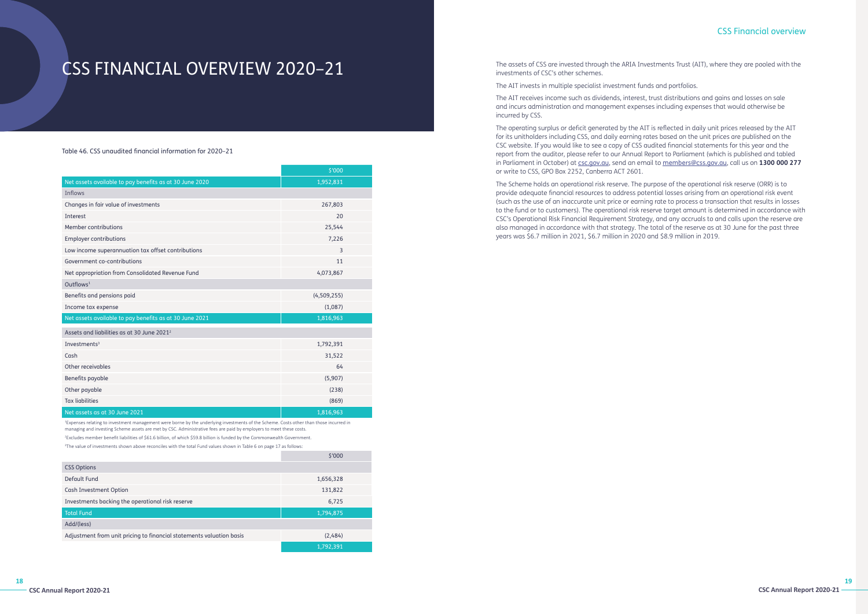**18**

# CSS FINANCIAL OVERVIEW 2020–21

Table 46. CSS unaudited financial information for 2020–21

|                                                         | \$'000      |  |
|---------------------------------------------------------|-------------|--|
| Net assets available to pay benefits as at 30 June 2020 | 1,952,831   |  |
| <b>Inflows</b>                                          |             |  |
| Changes in fair value of investments                    | 267,803     |  |
| Interest                                                | 20          |  |
| Member contributions                                    | 25,544      |  |
| <b>Employer contributions</b>                           | 7,226       |  |
| Low income superannuation tax offset contributions      | 3           |  |
| Government co-contributions                             | 11          |  |
| Net appropriation from Consolidated Revenue Fund        | 4,073,867   |  |
| $Q$ utflows <sup>1</sup>                                |             |  |
| Benefits and pensions paid                              | (4,509,255) |  |
| Income tax expense                                      | (1,087)     |  |
| Net assets available to pay benefits as at 30 June 2021 | 1,816,963   |  |
| Assets and liabilities as at 30 June 2021 <sup>2</sup>  |             |  |
| Investments <sup>3</sup>                                | 1,792,391   |  |
| Cash                                                    | 31,522      |  |
| Other receivables                                       | 64          |  |
| Benefits payable                                        | (5,907)     |  |
| Other payable                                           | (238)       |  |
| <b>Tax liabilities</b>                                  | (869)       |  |
| Net assets as at 30 June 2021                           | 1,816,963   |  |

1 Expenses relating to investment management were borne by the underlying investments of the Scheme. Costs other than those incurred in managing and investing Scheme assets are met by CSC. Administrative fees are paid by employers to meet these costs. 2 Excludes member benefit liabilities of \$61.6 billion, of which \$59.8 billion is funded by the Commonwealth Government.

3 The value of investments shown above reconciles with the total Fund values shown in Table 6 on page 17 as follows:

|                                                                      | \$'000    |  |
|----------------------------------------------------------------------|-----------|--|
| <b>CSS Options</b>                                                   |           |  |
| Default Fund                                                         | 1,656,328 |  |
| Cash Investment Option                                               | 131,822   |  |
| Investments backing the operational risk reserve                     | 6,725     |  |
| <b>Total Fund</b>                                                    | 1,794,875 |  |
| Add/(less)                                                           |           |  |
| Adjustment from unit pricing to financial statements valuation basis | (2,484)   |  |
|                                                                      | 1,792,391 |  |

# CSS Financial overview

The assets of CSS are invested through the ARIA Investments Trust (AIT), where they are pooled with the investments of CSC's other schemes.

The AIT invests in multiple specialist investment funds and portfolios.

The AIT receives income such as dividends, interest, trust distributions and gains and losses on sale and incurs administration and management expenses including expenses that would otherwise be incurred by CSS.

The operating surplus or deficit generated by the AIT is reflected in daily unit prices released by the AIT for its unitholders including CSS, and daily earning rates based on the unit prices are published on the CSC website. If you would like to see a copy of CSS audited financial statements for this year and the report from the auditor, please refer to our Annual Report to Parliament (which is published and tabled in Parliament in October) at [csc.gov.au](https://www.csc.gov.au/), send an email to [members@css.gov.au](mailto:members%40css.gov.au?subject=), call us on **1300 000 277** or write to CSS, GPO Box 2252, Canberra ACT 2601.

The Scheme holds an operational risk reserve. The purpose of the operational risk reserve (ORR) is to provide adequate financial resources to address potential losses arising from an operational risk event (such as the use of an inaccurate unit price or earning rate to process a transaction that results in losses to the fund or to customers). The operational risk reserve target amount is determined in accordance with CSC's Operational Risk Financial Requirement Strategy, and any accruals to and calls upon the reserve are also managed in accordance with that strategy. The total of the reserve as at 30 June for the past three years was \$6.7 million in 2021, \$6.7 million in 2020 and \$8.9 million in 2019.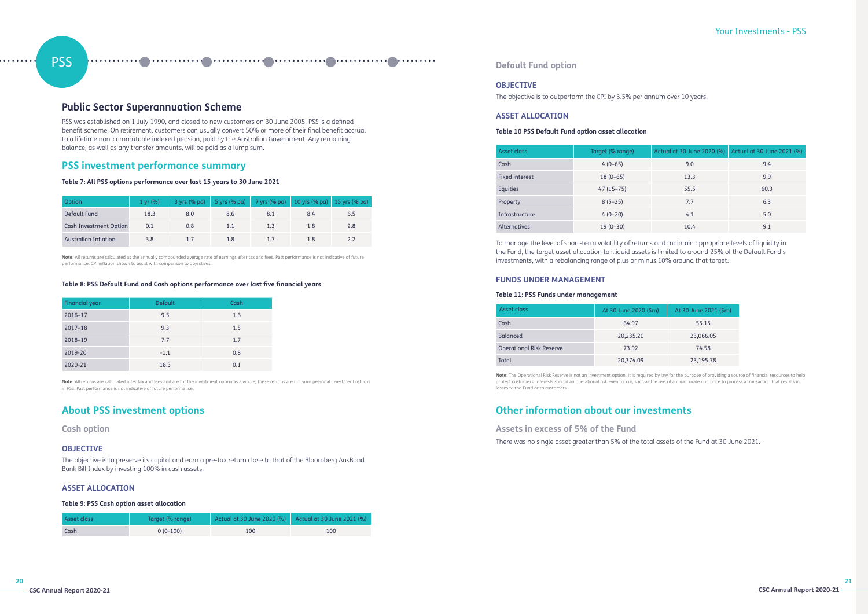# PSS

# **Public Sector Superannuation Scheme**

PSS was established on 1 July 1990, and closed to new customers on 30 June 2005. PSS is a defined benefit scheme. On retirement, customers can usually convert 50% or more of their final benefit accrual to a lifetime non-commutable indexed pension, paid by the Australian Government. Any remaining balance, as well as any transfer amounts, will be paid as a lump sum.

# **PSS investment performance summary**

# **Table 7: All PSS options performance over last 15 years to 30 June 2021**

| Option                      | $1 \, \text{yr} \, (%)$ |     | 3 yrs (% pa) 5 yrs (% pa) 7 yrs (% pa) 10 yrs (% pa) 15 yrs (% pa) |     |     |     |
|-----------------------------|-------------------------|-----|--------------------------------------------------------------------|-----|-----|-----|
| Default Fund                | 18.3                    | 8.0 | 8.6                                                                | 8.1 | 8.4 | 6.5 |
| Cash Investment Option      | 0.1                     | 0.8 |                                                                    | 1.3 | 1.8 | 2.8 |
| <b>Australian Inflation</b> | 3.8                     |     | 1.8                                                                |     |     |     |

**Note**: All returns are calculated as the annually compounded average rate of earnings after tax and fees. Past performance is not indicative of future performance. CPI inflation shown to assist with comparison to objectives.

# **Table 8: PSS Default Fund and Cash options performance over last five financial years**

| Financial year | <b>Default</b> | Cash |
|----------------|----------------|------|
| 2016-17        | 9.5            | 1.6  |
| $2017 - 18$    | 9.3            | 1.5  |
| 2018-19        | 7.7            | 1.7  |
| 2019-20        | $-1.1$         | 0.8  |
| 2020-21        | 18.3           | 0.1  |

**Note**: All returns are calculated after tax and fees and are for the investment option as a whole; these returns are not your personal investment returns in PSS. Past performance is not indicative of future performance.

# **About PSS investment options**

# **Cash option**

# **OBJECTIVE**

The objective is to preserve its capital and earn a pre-tax return close to that of the Bloomberg AusBond Bank Bill Index by investing 100% in cash assets.

# **ASSET ALLOCATION**

# **Table 9: PSS Cash option asset allocation**

| Asset class | Target (% range) | Actual at 30 June 2020 (%)   Actual at 30 June 2021 (%) |     |
|-------------|------------------|---------------------------------------------------------|-----|
| Cash        | $0(0-100)$       | 100                                                     | 100 |

# Your Investments - PSS

# **Default Fund option**

# **OBJECTIVE**

The objective is to outperform the CPI by 3.5% per annum over 10 years.

# **ASSET ALLOCATION**

# **Table 10 PSS Default Fund option asset allocation**

| Asset class           | Target (% range) | Actual at 30 June 2020 (%) | Actual at 30 June 2021 (%) |
|-----------------------|------------------|----------------------------|----------------------------|
| Cash                  | $4(0-65)$        | 9.0                        | 9.4                        |
| <b>Fixed interest</b> | $18(0-65)$       | 13.3                       | 9.9                        |
| Equities              | $47(15-75)$      | 55.5                       | 60.3                       |
| Property              | $8(5-25)$        | 7.7                        | 6.3                        |
| Infrastructure        | $4(0-20)$        | 4.1                        | 5.0                        |
| <b>Alternatives</b>   | $19(0-30)$       | 10.4                       | 9.1                        |

To manage the level of short-term volatility of returns and maintain appropriate levels of liquidity in the Fund, the target asset allocation to illiquid assets is limited to around 25% of the Default Fund's investments, with a rebalancing range of plus or minus 10% around that target.

# **FUNDS UNDER MANAGEMENT**

# **Table 11: PSS Funds under management**

| Asset class                     | At 30 June 2020 (\$m) | At 30 June 2021 (\$m) |
|---------------------------------|-----------------------|-----------------------|
| Cash                            | 64.97                 | 55.15                 |
| <b>Balanced</b>                 | 20,235.20             | 23,066.05             |
| <b>Operational Risk Reserve</b> | 73.92                 | 74.58                 |
| <b>Total</b>                    | 20,374.09             | 23,195.78             |

**Note**: The Operational Risk Reserve is not an investment option. It is required by law for the purpose of providing a source of financial resources to help protect customers' interests should an operational risk event occur, such as the use of an inaccurate unit price to process a transaction that results in losses to the Fund or to customers.

# **Other information about our investments**

# **Assets in excess of 5% of the Fund**

There was no single asset greater than 5% of the total assets of the Fund at 30 June 2021.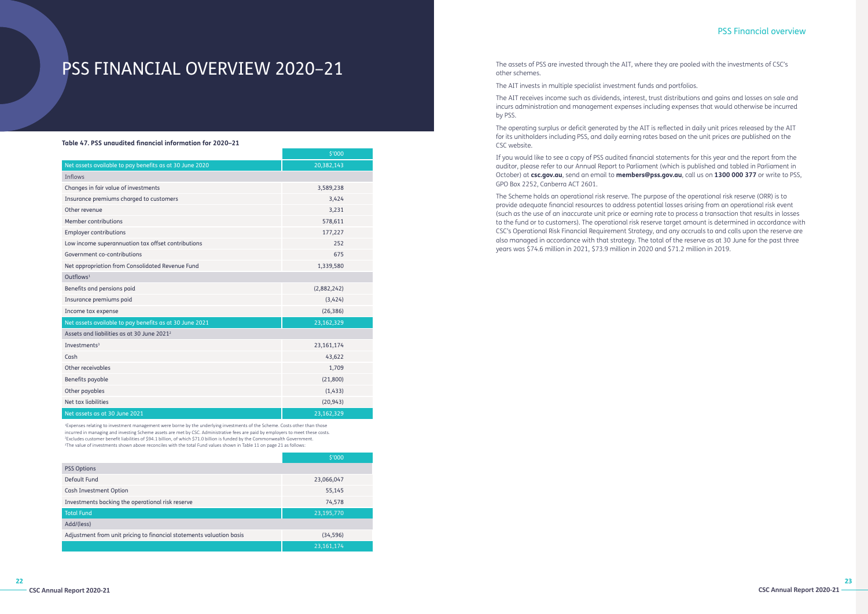# PSS FINANCIAL OVERVIEW 2020–21

### **Table 47. PSS unaudited financial information for 2020–21**

|                                                         | \$'000       |  |
|---------------------------------------------------------|--------------|--|
| Net assets available to pay benefits as at 30 June 2020 | 20,382,143   |  |
| Inflows                                                 |              |  |
| Changes in fair value of investments                    | 3,589,238    |  |
| Insurance premiums charged to customers                 | 3,424        |  |
| Other revenue                                           | 3,231        |  |
| Member contributions                                    | 578,611      |  |
| <b>Employer contributions</b>                           | 177,227      |  |
| Low income superannuation tax offset contributions      | 252          |  |
| Government co-contributions                             | 675          |  |
| Net appropriation from Consolidated Revenue Fund        | 1,339,580    |  |
| Outflows <sup>1</sup>                                   |              |  |
| Benefits and pensions paid                              | (2,882,242)  |  |
| Insurance premiums paid                                 | (3,424)      |  |
| Income tax expense                                      | (26, 386)    |  |
| Net assets available to pay benefits as at 30 June 2021 | 23,162,329   |  |
| Assets and liabilities as at 30 June 2021 <sup>2</sup>  |              |  |
| Investments <sup>3</sup>                                | 23, 161, 174 |  |
| Cash                                                    | 43,622       |  |
| Other receivables                                       | 1,709        |  |
| Benefits payable                                        | (21,800)     |  |
| Other payables                                          | (1,433)      |  |
| Net tax liabilities                                     | (20, 943)    |  |
| Net assets as at 30 June 2021                           | 23,162,329   |  |

<sup>1</sup>Expenses relating to investment management were borne by the underlying investments of the Scheme. Costs other than those incurred in managing and investing Scheme assets are met by CSC. Administrative fees are paid by employers to meet these costs. 2 Excludes customer benefit liabilities of \$94.1 billion, of which \$71.0 billion is funded by the Commonwealth Government. 3 The value of investments shown above reconciles with the total Fund values shown in Table 11 on page 21 as follows:

|                                                                      | \$'000       |  |
|----------------------------------------------------------------------|--------------|--|
| <b>PSS Options</b>                                                   |              |  |
| Default Fund                                                         | 23,066,047   |  |
| Cash Investment Option                                               | 55,145       |  |
| Investments backing the operational risk reserve                     | 74,578       |  |
| <b>Total Fund</b>                                                    | 23,195,770   |  |
| Add/(less)                                                           |              |  |
| Adjustment from unit pricing to financial statements valuation basis | (34, 596)    |  |
|                                                                      | 23, 161, 174 |  |

# PSS Financial overview

The assets of PSS are invested through the AIT, where they are pooled with the investments of CSC's other schemes.

The AIT invests in multiple specialist investment funds and portfolios.

incurs administration and management expenses including expenses that would otherwise be incurred by PSS.

for its unitholders including PSS, and daily earning rates based on the unit prices are published on the CSC website.

- 
- The AIT receives income such as dividends, interest, trust distributions and gains and losses on sale and
- The operating surplus or deficit generated by the AIT is reflected in daily unit prices released by the AIT
- If you would like to see a copy of PSS audited financial statements for this year and the report from the
- The Scheme holds an operational risk reserve. The purpose of the operational risk reserve (ORR) is to

auditor, please refer to our Annual Report to Parliament (which is published and tabled in Parliament in October) at **csc.gov.au**, send an email to **members@pss.gov.au**, call us on **1300 000 377** or write to PSS, GPO Box 2252, Canberra ACT 2601.

provide adequate financial resources to address potential losses arising from an operational risk event (such as the use of an inaccurate unit price or earning rate to process a transaction that results in losses to the fund or to customers). The operational risk reserve target amount is determined in accordance with CSC's Operational Risk Financial Requirement Strategy, and any accruals to and calls upon the reserve are also managed in accordance with that strategy. The total of the reserve as at 30 June for the past three years was \$74.6 million in 2021, \$73.9 million in 2020 and \$71.2 million in 2019.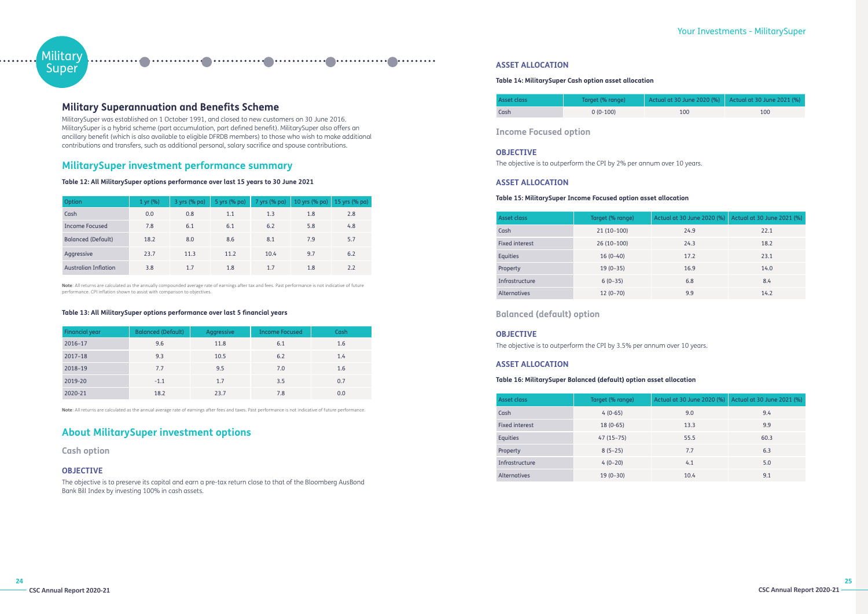# **Military Super**

# **Military Superannuation and Benefits Scheme**

MilitarySuper was established on 1 October 1991, and closed to new customers on 30 June 2016. MilitarySuper is a hybrid scheme (part accumulation, part defined benefit). MilitarySuper also offers an ancillary benefit (which is also available to eligible DFRDB members) to those who wish to make additional contributions and transfers, such as additional personal, salary sacrifice and spouse contributions.

# **MilitarySuper investment performance summary**

**Table 12: All MilitarySuper options performance over last 15 years to 30 June 2021**

| Option                      | 1 yr (%) | 3 yrs (% pa) | 5 yrs (% pa) | 7 yrs (% pa) | 10 yrs (% pa) 15 yrs (% pa) |     |
|-----------------------------|----------|--------------|--------------|--------------|-----------------------------|-----|
| Cash                        | 0.0      | 0.8          | 1.1          | 1.3          | 1.8                         | 2.8 |
| Income Focused              | 7.8      | 6.1          | 6.1          | 6.2          | 5.8                         | 4.8 |
| <b>Balanced (Default)</b>   | 18.2     | 8.0          | 8.6          | 8.1          | 7.9                         | 5.7 |
| Aggressive                  | 23.7     | 11.3         | 11.2         | 10.4         | 9.7                         | 6.2 |
| <b>Australian Inflation</b> | 3.8      | 1.7          | 1.8          | 1.7          | 1.8                         | 2.2 |

**Note**: All returns are calculated as the annually compounded average rate of earnings after tax and fees. Past performance is not indicative of future performance. CPI inflation shown to assist with comparison to objectives.

# **Table 13: All MilitarySuper options performance over last 5 financial years**

| Financial year | <b>Balanced (Default)</b> | Aggressive | <b>Income Focused</b> | Cash |
|----------------|---------------------------|------------|-----------------------|------|
| 2016-17        | 9.6                       | 11.8       | 6.1                   | 1.6  |
| $2017 - 18$    | 9.3                       | 10.5       | 6.2                   | 1.4  |
| 2018-19        | 7.7                       | 9.5        | 7.0                   | 1.6  |
| 2019-20        | $-1.1$                    | 1.7        | 3.5                   | 0.7  |
| 2020-21        | 18.2                      | 23.7       | 7.8                   | 0.0  |

**Note**: All returns are calculated as the annual average rate of earnings after fees and taxes. Past performance is not indicative of future performance.

# **About MilitarySuper investment options**

**Cash option**

# **OBJECTIVE**

The objective is to preserve its capital and earn a pre-tax return close to that of the Bloomberg AusBond Bank Bill Index by investing 100% in cash assets.

# Your Investments - MilitarySuper

# **ASSET ALLOCATION**

# **Table 14: MilitarySuper Cash option asset allocation**

| Asset class | Target (% range) | Actual at 30 June 2020 (%) Actual at 30 June 2021 (%) |     |
|-------------|------------------|-------------------------------------------------------|-----|
| Cash        | $0(0-100)$       | 100                                                   | 100 |

**Income Focused option**

# **OBJECTIVE**

The objective is to outperform the CPI by 2% per annum over 10 years.

# **ASSET ALLOCATION**

# **Table 15: MilitarySuper Income Focused option asset allocation**

| Asset class           | Target (% range) | Actual at 30 June 2020 (%) | Actual at 30 June 2021 (%) |
|-----------------------|------------------|----------------------------|----------------------------|
| Cash                  | $21(10-100)$     | 24.9                       | 22.1                       |
| <b>Fixed interest</b> | $26(10-100)$     | 24.3                       | 18.2                       |
| Equities              | $16(0-40)$       | 17.2                       | 23.1                       |
| Property              | $19(0-35)$       | 16.9                       | 14.0                       |
| Infrastructure        | $6(0-35)$        | 6.8                        | 8.4                        |
| <b>Alternatives</b>   | $12(0-70)$       | 9.9                        | 14.2                       |

# **Balanced (default) option**

# **OBJECTIVE**

The objective is to outperform the CPI by 3.5% per annum over 10 years.

# **ASSET ALLOCATION**

# **Table 16: MilitarySuper Balanced (default) option asset allocation**

| Asset class    | Target (% range) | Actual at 30 June 2020 (%) | Actual at 30 June 2021 (%) |
|----------------|------------------|----------------------------|----------------------------|
| Cash           | $4(0-65)$        | 9.0                        | 9.4                        |
| Fixed interest | $18(0-65)$       | 13.3                       | 9.9                        |
| Equities       | $47(15-75)$      | 55.5                       | 60.3                       |
| Property       | $8(5-25)$        | 7.7                        | 6.3                        |
| Infrastructure | $4(0-20)$        | 4.1                        | 5.0                        |
| Alternatives   | $19(0-30)$       | 10.4                       | 9.1                        |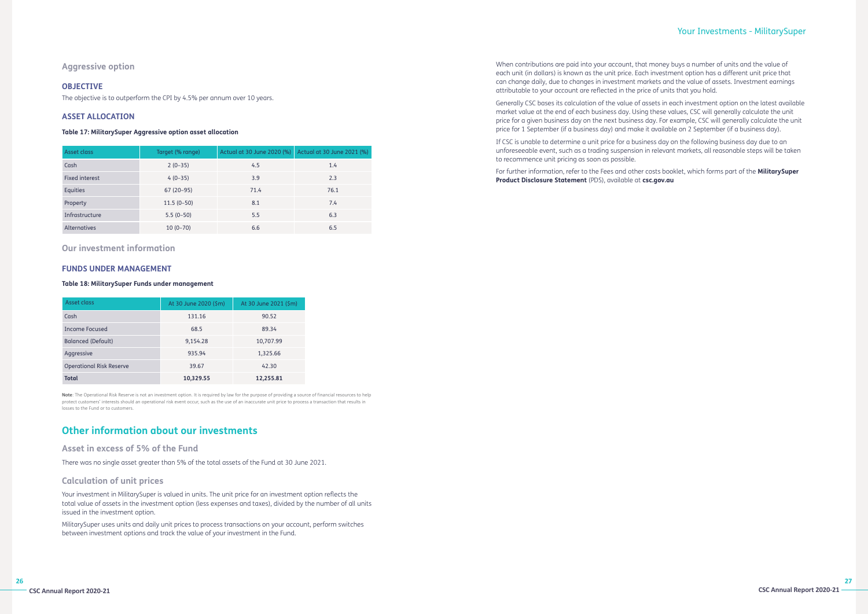# Your Investments - MilitarySuper

# **Aggressive option**

# **OBJECTIVE**

The objective is to outperform the CPI by 4.5% per annum over 10 years.

# **ASSET ALLOCATION**

# **Table 17: MilitarySuper Aggressive option asset allocation**

| Asset class         | Target (% range) | Actual at 30 June 2020 (%) | Actual at 30 June 2021 (%) |
|---------------------|------------------|----------------------------|----------------------------|
| Cash                | $2(0-35)$        | 4.5                        | 1.4                        |
| Fixed interest      | $4(0-35)$        | 3.9                        | 2.3                        |
| Equities            | $67(20-95)$      | 71.4                       | 76.1                       |
| Property            | $11.5(0-50)$     | 8.1                        | 7.4                        |
| Infrastructure      | $5.5(0-50)$      | 5.5                        | 6.3                        |
| <b>Alternatives</b> | $10(0-70)$       | 6.6                        | 6.5                        |

**Our investment information**

# **FUNDS UNDER MANAGEMENT**

# **Table 18: MilitarySuper Funds under management**

| Asset class                     | At 30 June 2020 (\$m) | At 30 June 2021 (\$m) |
|---------------------------------|-----------------------|-----------------------|
| Cash                            | 131.16                | 90.52                 |
| Income Focused                  | 68.5                  | 89.34                 |
| <b>Balanced (Default)</b>       | 9,154.28              | 10,707.99             |
| Aggressive                      | 935.94                | 1,325.66              |
| <b>Operational Risk Reserve</b> | 39.67                 | 42.30                 |
| <b>Total</b>                    | 10,329.55             | 12,255.81             |

**Note**: The Operational Risk Reserve is not an investment option. It is required by law for the purpose of providing a source of financial resources to help protect customers' interests should an operational risk event occur, such as the use of an inaccurate unit price to process a transaction that results in losses to the Fund or to customers.

# **Other information about our investments**

# **Asset in excess of 5% of the Fund**

There was no single asset greater than 5% of the total assets of the Fund at 30 June 2021.

# **Calculation of unit prices**

Your investment in MilitarySuper is valued in units. The unit price for an investment option reflects the total value of assets in the investment option (less expenses and taxes), divided by the number of all units issued in the investment option.

MilitarySuper uses units and daily unit prices to process transactions on your account, perform switches between investment options and track the value of your investment in the Fund.

When contributions are paid into your account, that money buys a number of units and the value of each unit (in dollars) is known as the unit price. Each investment option has a different unit price that can change daily, due to changes in investment markets and the value of assets. Investment earnings attributable to your account are reflected in the price of units that you hold.

Generally CSC bases its calculation of the value of assets in each investment option on the latest available market value at the end of each business day. Using these values, CSC will generally calculate the unit price for a given business day on the next business day. For example, CSC will generally calculate the unit price for 1 September (if a business day) and make it available on 2 September (if a business day).

If CSC is unable to determine a unit price for a business day on the following business day due to an unforeseeable event, such as a trading suspension in relevant markets, all reasonable steps will be taken to recommence unit pricing as soon as possible.

For further information, refer to the Fees and other costs booklet, which forms part of the **MilitarySuper Product Disclosure Statement** (PDS), available at **csc.gov.au**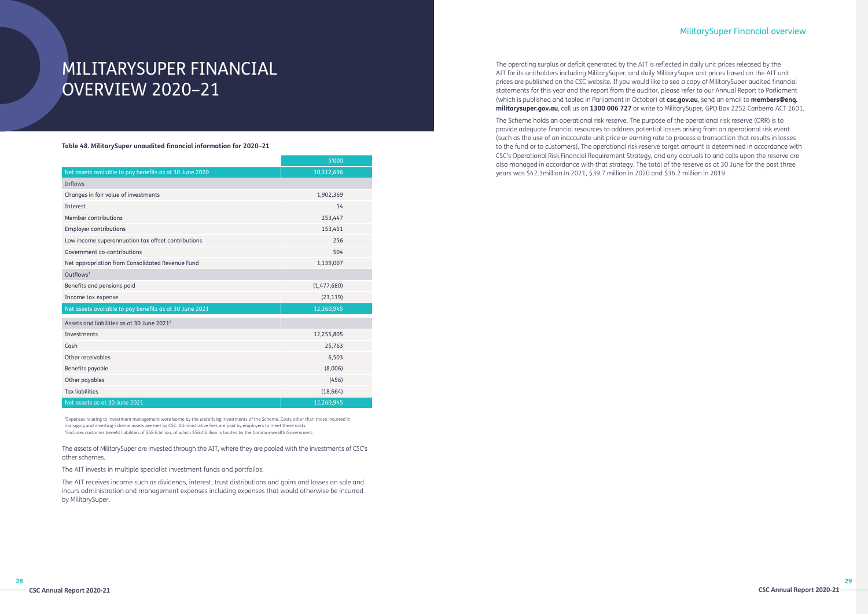# MILITARYSUPER FINANCIAL OVERVIEW 2020–21

**Table 48. MilitarySuper unaudited financial information for 2020–21**

|                                                         | \$'000      |  |
|---------------------------------------------------------|-------------|--|
| Net assets available to pay benefits as at 30 June 2020 | 10,312,696  |  |
| <b>Inflows</b>                                          |             |  |
| Changes in fair value of investments                    | 1,902,369   |  |
| Interest                                                | 14          |  |
| Member contributions                                    | 253,447     |  |
| <b>Employer contributions</b>                           | 153,451     |  |
| Low income superannuation tax offset contributions      | 256         |  |
| Government co-contributions                             | 504         |  |
| Net appropriation from Consolidated Revenue Fund        | 1,139,007   |  |
| Outflows <sup>1</sup>                                   |             |  |
| Benefits and pensions paid                              | (1,477,680) |  |
| Income tax expense                                      | (23, 119)   |  |
| Net assets available to pay benefits as at 30 June 2021 | 12,260,945  |  |
| Assets and liabilities as at 30 June 2021 <sup>2</sup>  |             |  |
| Investments                                             | 12,255,805  |  |
| Cash                                                    | 25,763      |  |
| Other receivables                                       | 6,503       |  |
| Benefits payable                                        | (8,006)     |  |
| Other payables                                          | (456)       |  |
| <b>Tax liabilities</b>                                  | (18, 664)   |  |
| Net assets as at 30 June 2021                           | 12,260,945  |  |

1 Expenses relating to investment management were borne by the underlying investments of the Scheme. Costs other than those incurred in managing and investing Scheme assets are met by CSC. Administrative fees are paid by employers to meet these costs. 2 Excludes customer benefit liabilities of \$68.6 billion, of which \$56.4 billion is funded by the Commonwealth Government.

The assets of MilitarySuper are invested through the AIT, where they are pooled with the investments of CSC's other schemes.

The AIT invests in multiple specialist investment funds and portfolios.

The AIT receives income such as dividends, interest, trust distributions and gains and losses on sale and incurs administration and management expenses including expenses that would otherwise be incurred by MilitarySuper.

# MilitarySuper Financial overview

The operating surplus or deficit generated by the AIT is reflected in daily unit prices released by the AIT for its unitholders including MilitarySuper, and daily MilitarySuper unit prices based on the AIT unit prices are published on the CSC website. If you would like to see a copy of MilitarySuper audited financial statements for this year and the report from the auditor, please refer to our Annual Report to Parliament (which is published and tabled in Parliament in October) at **csc.gov.au**, send an email to **members@enq. militarysuper.gov.au**, call us on **1300 006 727** or write to MilitarySuper, GPO Box 2252 Canberra ACT 2601.

The Scheme holds an operational risk reserve. The purpose of the operational risk reserve (ORR) is to provide adequate financial resources to address potential losses arising from an operational risk event (such as the use of an inaccurate unit price or earning rate to process a transaction that results in losses to the fund or to customers). The operational risk reserve target amount is determined in accordance with CSC's Operational Risk Financial Requirement Strategy, and any accruals to and calls upon the reserve are also managed in accordance with that strategy. The total of the reserve as at 30 June for the past three years was \$42.3million in 2021, \$39.7 million in 2020 and \$36.2 million in 2019.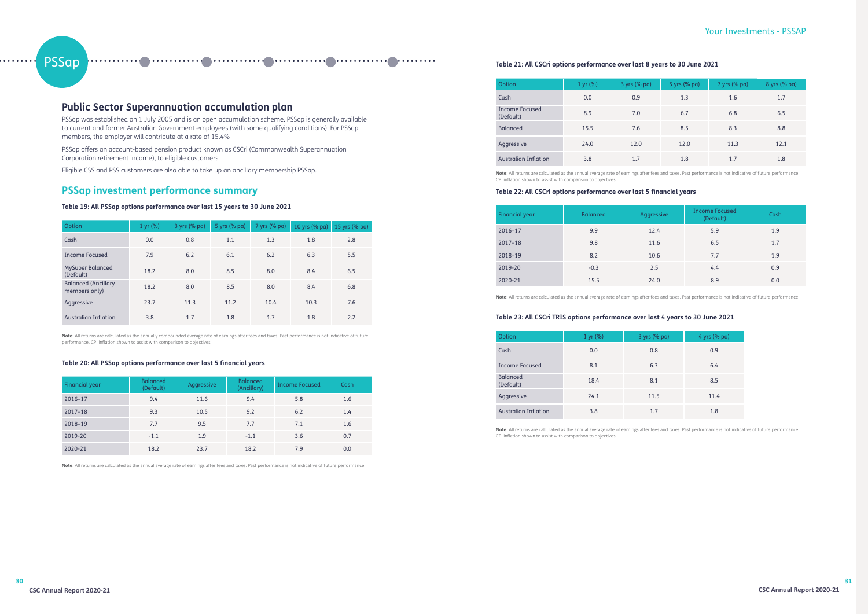# PSSap

# Your Investments - PSSAP

# **Public Sector Superannuation accumulation plan**

PSSap was established on 1 July 2005 and is an open accumulation scheme. PSSap is generally available to current and former Australian Government employees (with some qualifying conditions). For PSSap members, the employer will contribute at a rate of 15.4%

PSSap offers an account-based pension product known as CSCri (Commonwealth Superannuation Corporation retirement income), to eligible customers.

Eligible CSS and PSS customers are also able to take up an ancillary membership PSSap.

# **PSSap investment performance summary**

# **Table 19: All PSSap options performance over last 15 years to 30 June 2021**

| Option                                      | 1 yr (%) | 3 yrs (% pa) | 5 yrs (% pa) | 7 yrs (% pa) | 10 yrs (% pa) | 15 yrs (% pa) |
|---------------------------------------------|----------|--------------|--------------|--------------|---------------|---------------|
| Cash                                        | 0.0      | 0.8          | 1.1          | 1.3          | 1.8           | 2.8           |
| Income Focused                              | 7.9      | 6.2          | 6.1          | 6.2          | 6.3           | 5.5           |
| <b>MySuper Balanced</b><br>(Default)        | 18.2     | 8.0          | 8.5          | 8.0          | 8.4           | 6.5           |
| <b>Balanced (Ancillary</b><br>members only) | 18.2     | 8.0          | 8.5          | 8.0          | 8.4           | 6.8           |
| Aggressive                                  | 23.7     | 11.3         | 11.2         | 10.4         | 10.3          | 7.6           |
| <b>Australian Inflation</b>                 | 3.8      | 1.7          | 1.8          | 1.7          | 1.8           | 2.2           |

**Note**: All returns are calculated as the annually compounded average rate of earnings after fees and taxes. Past performance is not indicative of future performance. CPI inflation shown to assist with comparison to objectives.

# **Table 20: All PSSap options performance over last 5 financial years**

| <b>Financial year</b> | <b>Balanced</b><br>(Default) | Aggressive | <b>Balanced</b><br>(Ancillary) | Income Focused | Cash |
|-----------------------|------------------------------|------------|--------------------------------|----------------|------|
| 2016-17               | 9.4                          | 11.6       | 9.4                            | 5.8            | 1.6  |
| 2017-18               | 9.3                          | 10.5       | 9.2                            | 6.2            | 1.4  |
| 2018-19               | 7.7                          | 9.5        | 7.7                            | 7.1            | 1.6  |
| 2019-20               | $-1.1$                       | 1.9        | $-1.1$                         | 3.6            | 0.7  |
| 2020-21               | 18.2                         | 23.7       | 18.2                           | 7.9            | 0.0  |

**Note**: All returns are calculated as the annual average rate of earnings after fees and taxes. Past performance is not indicative of future performance.

# **Table 21: All CSCri options performance over last 8 years to 30 June 2021**

| Option                             | 1 yr (%) | 3 yrs (% pa) | 5 yrs (% pa) | 7 yrs (% pa) | 8 yrs (% pa) |
|------------------------------------|----------|--------------|--------------|--------------|--------------|
| Cash                               | 0.0      | 0.9          | 1.3          | 1.6          | 1.7          |
| <b>Income Focused</b><br>(Default) | 8.9      | 7.0          | 6.7          | 6.8          | 6.5          |
| <b>Balanced</b>                    | 15.5     | 7.6          | 8.5          | 8.3          | 8.8          |
| Aggressive                         | 24.0     | 12.0         | 12.0         | 11.3         | 12.1         |
| <b>Australian Inflation</b>        | 3.8      | 1.7          | 1.8          | 1.7          | 1.8          |

**Note**: All returns are calculated as the annual average rate of earnings after fees and taxes. Past performance is not indicative of future performance. CPI inflation shown to assist with comparison to objectives.

# **Table 22: All CSCri options performance over last 5 financial years**

| <b>Financial year</b> | <b>Balanced</b> | Aggressive | <b>Income Focused</b><br>(Default) | Cash |
|-----------------------|-----------------|------------|------------------------------------|------|
| 2016-17               | 9.9             | 12.4       | 5.9                                | 1.9  |
| $2017 - 18$           | 9.8             | 11.6       | 6.5                                | 1.7  |
| 2018-19               | 8.2             | 10.6       | 7.7                                | 1.9  |
| 2019-20               | $-0.3$          | 2.5        | 4.4                                | 0.9  |
| 2020-21               | 15.5            | 24.0       | 8.9                                | 0.0  |

**Note**: All returns are calculated as the annual average rate of earnings after fees and taxes. Past performance is not indicative of future performance.

# **Table 23: All CSCri TRIS options performance over last 4 years to 30 June 2021**

| Option                       | 1 yr (%) | 3 yrs (% pa) | 4 yrs (% pa) |
|------------------------------|----------|--------------|--------------|
| Cash                         | 0.0      | 0.8          | 0.9          |
| Income Focused               | 8.1      | 6.3          | 6.4          |
| <b>Balanced</b><br>(Default) | 18.4     | 8.1          | 8.5          |
| Aggressive                   | 24.1     | 11.5         | 11.4         |
| <b>Australian Inflation</b>  | 3.8      | 1.7          | 1.8          |

**Note**: All returns are calculated as the annual average rate of earnings after fees and taxes. Past performance is not indicative of future performance. CPI inflation shown to assist with comparison to objectives.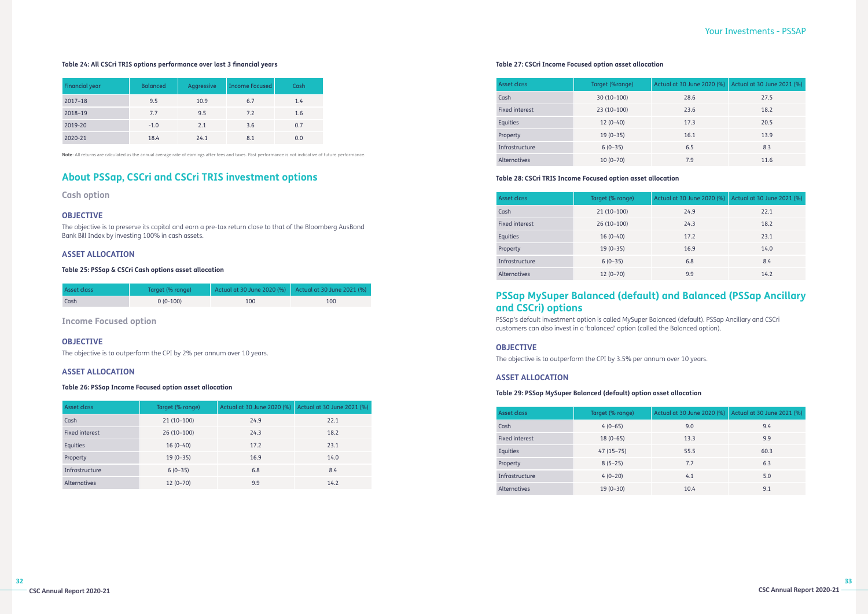# Your Investments - PSSAP

# **Table 24: All CSCri TRIS options performance over last 3 financial years**

| Financial year | <b>Balanced</b> | Aggressive | <b>Income Focused</b> | Cash |
|----------------|-----------------|------------|-----------------------|------|
| $2017 - 18$    | 9.5             | 10.9       | 6.7                   | 1.4  |
| 2018-19        | 7.7             | 9.5        | 7.2                   | 1.6  |
| 2019-20        | $-1.0$          | 2.1        | 3.6                   | 0.7  |
| 2020-21        | 18.4            | 24.1       | 8.1                   | 0.0  |

**Note**: All returns are calculated as the annual average rate of earnings after fees and taxes. Past performance is not indicative of future performance.

# **About PSSap, CSCri and CSCri TRIS investment options**

**Cash option**

# **OBJECTIVE**

The objective is to preserve its capital and earn a pre-tax return close to that of the Bloomberg AusBond Bank Bill Index by investing 100% in cash assets.

# **ASSET ALLOCATION**

# **Table 25: PSSap & CSCri Cash options asset allocation**

| Asset class | Target (% range) | Actual at 30 June 2020 (%) Actual at 30 June 2021 (%) |     |
|-------------|------------------|-------------------------------------------------------|-----|
| Cash        | $0(0-100)$       | 100                                                   | 100 |

**Income Focused option**

# **OBJECTIVE**

The objective is to outperform the CPI by 2% per annum over 10 years.

# **ASSET ALLOCATION**

**Table 26: PSSap Income Focused option asset allocation**

| Asset class         | Target (% range) | Actual at 30 June 2020 (%) | Actual at 30 June 2021 (%) |
|---------------------|------------------|----------------------------|----------------------------|
| Cash                | $21(10-100)$     | 24.9                       | 22.1                       |
| Fixed interest      | 26 (10-100)      | 24.3                       | 18.2                       |
| <b>Equities</b>     | $16(0-40)$       | 17.2                       | 23.1                       |
| Property            | $19(0-35)$       | 16.9                       | 14.0                       |
| Infrastructure      | $6(0-35)$        | 6.8                        | 8.4                        |
| <b>Alternatives</b> | $12(0-70)$       | 9.9                        | 14.2                       |

# **Table 27: CSCri Income Focused option asset allocation**

| Asset class           | Target (%range) | Actual at 30 June 2020 (%) | Actual at 30 June 2021 (%) |
|-----------------------|-----------------|----------------------------|----------------------------|
| Cash                  | $30(10-100)$    | 28.6                       | 27.5                       |
| <b>Fixed interest</b> | $23(10-100)$    | 23.6                       | 18.2                       |
| <b>Equities</b>       | $12(0-40)$      | 17.3                       | 20.5                       |
| Property              | $19(0-35)$      | 16.1                       | 13.9                       |
| Infrastructure        | $6(0-35)$       | 6.5                        | 8.3                        |
| <b>Alternatives</b>   | $10(0-70)$      | 7.9                        | 11.6                       |

# **Table 28: CSCri TRIS Income Focused option asset allocation**

| Asset class           | Target (% range) | Actual at 30 June 2020 (%) | Actual at 30 June 2021 (%) |
|-----------------------|------------------|----------------------------|----------------------------|
| Cash                  | $21(10-100)$     | 24.9                       | 22.1                       |
| <b>Fixed interest</b> | $26(10-100)$     | 24.3                       | 18.2                       |
| Equities              | $16(0-40)$       | 17.2                       | 23.1                       |
| Property              | $19(0-35)$       | 16.9                       | 14.0                       |
| Infrastructure        | $6(0-35)$        | 6.8                        | 8.4                        |
| <b>Alternatives</b>   | $12(0-70)$       | 9.9                        | 14.2                       |

# **PSSap MySuper Balanced (default) and Balanced (PSSap Ancillary and CSCri) options**

PSSap's default investment option is called MySuper Balanced (default). PSSap Ancillary and CSCri customers can also invest in a 'balanced' option (called the Balanced option).

# **OBJECTIVE**

The objective is to outperform the CPI by 3.5% per annum over 10 years.

# **ASSET ALLOCATION**

# **Table 29: PSSap MySuper Balanced (default) option asset allocation**

| Asset class           | Target (% range) | Actual at 30 June 2020 (%) | Actual at 30 June 2021 (%) |
|-----------------------|------------------|----------------------------|----------------------------|
| Cash                  | $4(0-65)$        | 9.0                        | 9.4                        |
| <b>Fixed interest</b> | $18(0-65)$       | 13.3                       | 9.9                        |
| <b>Equities</b>       | $47(15-75)$      | 55.5                       | 60.3                       |
| Property              | $8(5-25)$        | 7.7                        | 6.3                        |
| Infrastructure        | $4(0-20)$        | 4.1                        | 5.0                        |
| Alternatives          | $19(0-30)$       | 10.4                       | 9.1                        |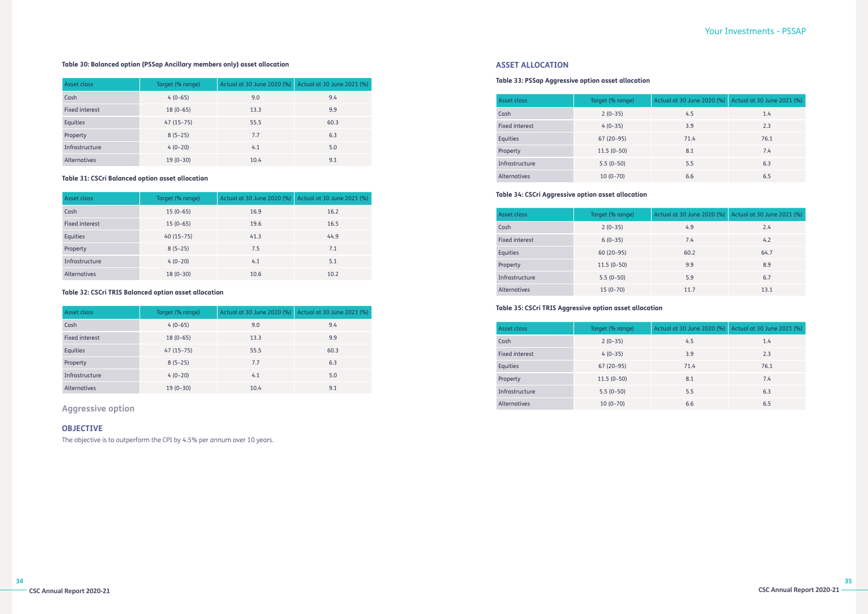# Your Investments - PSSAP

# **Table 30: Balanced option (PSSap Ancillary members only) asset allocation**

| Asset class         | Target (% range) | Actual at 30 June 2020 (%) Actual at 30 June 2021 (%) |      |
|---------------------|------------------|-------------------------------------------------------|------|
| Cash                | $4(0-65)$        | 9.0                                                   | 9.4  |
| Fixed interest      | $18(0-65)$       | 13.3                                                  | 9.9  |
| Equities            | $47(15-75)$      | 55.5                                                  | 60.3 |
| Property            | $8(5-25)$        | 7.7                                                   | 6.3  |
| Infrastructure      | $4(0-20)$        | 4.1                                                   | 5.0  |
| <b>Alternatives</b> | $19(0-30)$       | 10.4                                                  | 9.1  |

# **Table 31: CSCri Balanced option asset allocation**

| Asset class           | Target (% range) | Actual at 30 June 2020 (%) | Actual at 30 June 2021 (%) |
|-----------------------|------------------|----------------------------|----------------------------|
| Cash                  | $15(0-65)$       | 16.9                       | 16.2                       |
| <b>Fixed interest</b> | $15(0-65)$       | 19.6                       | 16.5                       |
| Equities              | $40(15-75)$      | 41.3                       | 44.9                       |
| Property              | $8(5-25)$        | 7.5                        | 7.1                        |
| Infrastructure        | $4(0-20)$        | 4.1                        | 5.1                        |
| <b>Alternatives</b>   | $18(0-30)$       | 10.6                       | 10.2                       |

# **Table 32: CSCri TRIS Balanced option asset allocation**

| Asset class           | Target (% range) | Actual at 30 June 2020 (%) | Actual at 30 June 2021 (%) |
|-----------------------|------------------|----------------------------|----------------------------|
| Cash                  | $4(0-65)$        | 9.0                        | 9.4                        |
| <b>Fixed interest</b> | $18(0-65)$       | 13.3                       | 9.9                        |
| Equities              | $47(15-75)$      | 55.5                       | 60.3                       |
| Property              | $8(5-25)$        | 7.7                        | 6.3                        |
| Infrastructure        | $4(0-20)$        | 4.1                        | 5.0                        |
| Alternatives          | $19(0-30)$       | 10.4                       | 9.1                        |

# **Aggressive option**

# **OBJECTIVE**

The objective is to outperform the CPI by 4.5% per annum over 10 years.

# **ASSET ALLOCATION**

# **Table 33: PSSap Aggressive option asset allocation**

| Asset class    | Target (% range) | Actual at 30 June 2020 (%) | Actual at 30 June 2021 (%) |
|----------------|------------------|----------------------------|----------------------------|
| Cash           | $2(0-35)$        | 4.5                        | 1.4                        |
| Fixed interest | $4(0-35)$        | 3.9                        | 2.3                        |
| Equities       | $67(20-95)$      | 71.4                       | 76.1                       |
| Property       | $11.5(0-50)$     | 8.1                        | 7.4                        |
| Infrastructure | $5.5(0-50)$      | 5.5                        | 6.3                        |
| Alternatives   | $10(0-70)$       | 6.6                        | 6.5                        |

# **Table 34: CSCri Aggressive option asset allocation**

| Asset class    | Target (% range) | Actual at 30 June 2020 (%) | Actual at 30 June 2021 (%) |
|----------------|------------------|----------------------------|----------------------------|
| Cash           | $2(0-35)$        | 4.9                        | 2.4                        |
| Fixed interest | $6(0-35)$        | 7.4                        | 4.2                        |
| Equities       | $60(20-95)$      | 60.2                       | 64.7                       |
| Property       | $11.5(0-50)$     | 9.9                        | 8.9                        |
| Infrastructure | $5.5(0-50)$      | 5.9                        | 6.7                        |
| Alternatives   | $15(0-70)$       | 11.7                       | 13.1                       |

# **Table 35: CSCri TRIS Aggressive option asset allocation**

| Asset class           | Target (% range) | Actual at 30 June 2020 (%) | Actual at 30 June 2021 (%) |
|-----------------------|------------------|----------------------------|----------------------------|
| Cash                  | $2(0-35)$        | 4.5                        | 1.4                        |
| <b>Fixed interest</b> | $4(0-35)$        | 3.9                        | 2.3                        |
| <b>Equities</b>       | $67(20-95)$      | 71.4                       | 76.1                       |
| Property              | $11.5(0-50)$     | 8.1                        | 7.4                        |
| Infrastructure        | $5.5(0-50)$      | 5.5                        | 6.3                        |
| Alternatives          | $10(0-70)$       | 6.6                        | 6.5                        |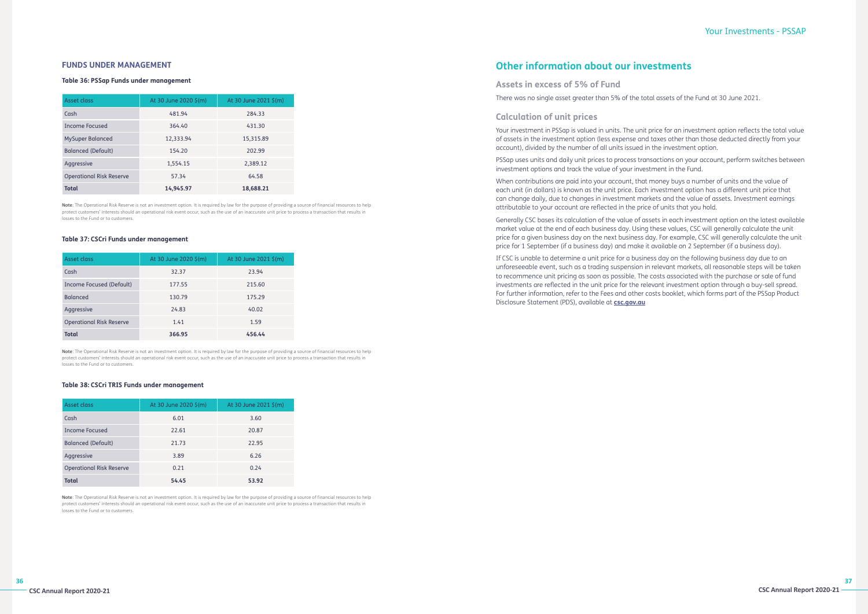# **FUNDS UNDER MANAGEMENT**

### **Table 36: PSSap Funds under management**

| Asset class                     | At 30 June 2020 \$(m)<br>At 30 June 2021 \$(m) |           |
|---------------------------------|------------------------------------------------|-----------|
| Cash                            | 481.94                                         | 284.33    |
| Income Focused                  | 364.40                                         | 431.30    |
| <b>MySuper Balanced</b>         | 12,333.94                                      | 15,315.89 |
| <b>Balanced (Default)</b>       | 154.20                                         | 202.99    |
| Aggressive                      | 1,554.15                                       | 2,389.12  |
| <b>Operational Risk Reserve</b> | 57.34                                          | 64.58     |
| <b>Total</b>                    | 14,945.97                                      | 18,688.21 |

**Note**: The Operational Risk Reserve is not an investment option. It is required by law for the purpose of providing a source of financial resources to help protect customers' interests should an operational risk event occur, such as the use of an inaccurate unit price to process a transaction that results in losses to the Fund or to customers.

Note: The Operational Risk Reserve is not an investment option. It is required by law for the purpose of providing a source of financial resources to help protect customers' interests should an operational risk event occur, such as the use of an inaccurate unit price to process a transaction that results in losses to the Fund or to customers.

### **Table 37: CSCri Funds under management**

| Asset class                     | At 30 June 2020 \$(m) | At 30 June 2021 \$(m) |
|---------------------------------|-----------------------|-----------------------|
| Cash                            | 32.37                 | 23.94                 |
| Income Focused (Default)        | 177.55                | 215.60                |
| <b>Balanced</b>                 | 130.79                | 175.29                |
| Aggressive                      | 24.83                 | 40.02                 |
| <b>Operational Risk Reserve</b> | 1.41                  | 1.59                  |
| <b>Total</b>                    | 366.95                | 456.44                |

### **Table 38: CSCri TRIS Funds under management**

| Asset class                     | At 30 June 2020 \$(m) | At 30 June 2021 \$(m) |
|---------------------------------|-----------------------|-----------------------|
| Cash                            | 6.01                  | 3.60                  |
| <b>Income Focused</b>           | 22.61                 | 20.87                 |
| <b>Balanced (Default)</b>       | 21.73                 | 22.95                 |
| Aggressive                      | 3.89                  | 6.26                  |
| <b>Operational Risk Reserve</b> | 0.21                  | 0.24                  |
| <b>Total</b>                    | 54.45                 | 53.92                 |

**Note**: The Operational Risk Reserve is not an investment option. It is required by law for the purpose of providing a source of financial resources to help protect customers' interests should an operational risk event occur, such as the use of an inaccurate unit price to process a transaction that results in losses to the Fund or to customers.

# **Other information about our investments**

# **Assets in excess of 5% of Fund**

There was no single asset greater than 5% of the total assets of the Fund at 30 June 2021.

# **Calculation of unit prices**

Your investment in PSSap is valued in units. The unit price for an investment option reflects the total value of assets in the investment option (less expense and taxes other than those deducted directly from your account), divided by the number of all units issued in the investment option.

PSSap uses units and daily unit prices to process transactions on your account, perform switches between investment options and track the value of your investment in the Fund.

When contributions are paid into your account, that money buys a number of units and the value of each unit (in dollars) is known as the unit price. Each investment option has a different unit price that can change daily, due to changes in investment markets and the value of assets. Investment earnings attributable to your account are reflected in the price of units that you hold.

Generally CSC bases its calculation of the value of assets in each investment option on the latest available market value at the end of each business day. Using these values, CSC will generally calculate the unit price for a given business day on the next business day. For example, CSC will generally calculate the unit price for 1 September (if a business day) and make it available on 2 September (if a business day).

If CSC is unable to determine a unit price for a business day on the following business day due to an unforeseeable event, such as a trading suspension in relevant markets, all reasonable steps will be taken to recommence unit pricing as soon as possible. The costs associated with the purchase or sale of fund investments are reflected in the unit price for the relevant investment option through a buy-sell spread. For further information, refer to the Fees and other costs booklet, which forms part of the PSSap Product Disclosure Statement (PDS), available at **[csc.gov.au](http://www.csc.gov.au)**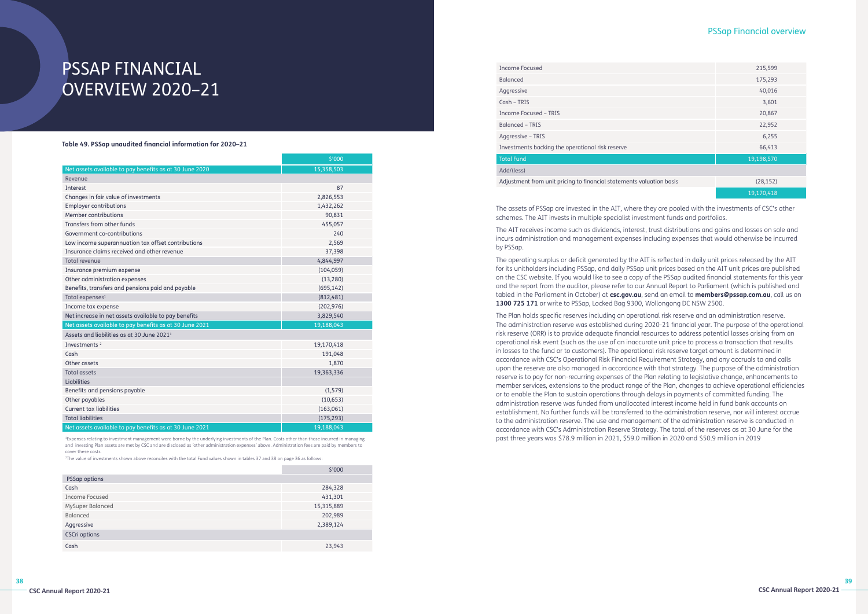# PSSAP FINANCIAL OVERVIEW 2020–21

### **Table 49. PSSap unaudited financial information for 2020–21**

|                                                         | \$'000     |  |
|---------------------------------------------------------|------------|--|
| Net assets available to pay benefits as at 30 June 2020 | 15,358,503 |  |
| Revenue                                                 |            |  |
| Interest                                                | 87         |  |
| Changes in fair value of investments                    | 2,826,553  |  |
| <b>Employer contributions</b>                           | 1,432,262  |  |
| Member contributions                                    | 90,831     |  |
| Transfers from other funds                              | 455,057    |  |
| Government co-contributions                             | 240        |  |
| Low income superannuation tax offset contributions      | 2,569      |  |
| Insurance claims received and other revenue             | 37,398     |  |
| Total revenue                                           | 4,844,997  |  |
| Insurance premium expense                               | (104, 059) |  |
| Other administration expenses                           | (13, 280)  |  |
| Benefits, transfers and pensions paid and payable       | (695, 142) |  |
| Total expenses <sup>1</sup>                             | (812, 481) |  |
| Income tax expense                                      | (202, 976) |  |
| Net increase in net assets available to pay benefits    | 3,829,540  |  |
| Net assets available to pay benefits as at 30 June 2021 | 19,188,043 |  |
| Assets and liabilities as at 30 June 2021 <sup>1</sup>  |            |  |
| Investments <sup>2</sup>                                | 19,170,418 |  |
| Cash                                                    | 191,048    |  |
| Other assets                                            | 1,870      |  |
| <b>Total assets</b>                                     | 19,363,336 |  |
| Liabilities                                             |            |  |
| Benefits and pensions payable                           | (1, 579)   |  |
| Other payables                                          | (10, 653)  |  |
| Current tax liabilities                                 | (163,061)  |  |
| <b>Total liabilities</b>                                | (175, 293) |  |
| Net assets available to pay benefits as at 30 June 2021 | 19,188,043 |  |

<sup>1</sup>Expenses relating to investment management were borne by the underlying investments of the Plan. Costs other than those incurred in managing and investing Plan assets are met by CSC and are disclosed as 'other administration expenses' above. Administration fees are paid by members to cover these costs.

2 The value of investments shown above reconciles with the total Fund values shown in tables 37 and 38 on page 36 as follows:

|                      | \$'000     |  |
|----------------------|------------|--|
| PSSap options        |            |  |
| Cash                 | 284,328    |  |
| Income Focused       | 431,301    |  |
| MySuper Balanced     | 15,315,889 |  |
| Balanced             | 202,989    |  |
| Aggressive           | 2,389,124  |  |
| <b>CSCri options</b> |            |  |
| Cash                 | 23,943     |  |

# PSSap Financial overview

| <b>Income Focused</b>                                                | 215,599    |  |
|----------------------------------------------------------------------|------------|--|
| <b>Balanced</b>                                                      | 175,293    |  |
| Aggressive                                                           | 40,016     |  |
| Cash - TRIS                                                          | 3,601      |  |
| <b>Income Focused - TRIS</b>                                         | 20,867     |  |
| <b>Balanced - TRIS</b>                                               | 22,952     |  |
| Aggressive - TRIS                                                    | 6,255      |  |
| Investments backing the operational risk reserve                     | 66,413     |  |
| <b>Total Fund</b>                                                    | 19,198,570 |  |
| Add/(less)                                                           |            |  |
| Adjustment from unit pricing to financial statements valuation basis | (28, 152)  |  |
|                                                                      | 19,170,418 |  |
|                                                                      |            |  |

The assets of PSSap are invested in the AIT, where they are pooled with the investments of CSC's other schemes. The AIT invests in multiple specialist investment funds and portfolios.

The AIT receives income such as dividends, interest, trust distributions and gains and losses on sale and incurs administration and management expenses including expenses that would otherwise be incurred by PSSap.

The operating surplus or deficit generated by the AIT is reflected in daily unit prices released by the AIT for its unitholders including PSSap, and daily PSSap unit prices based on the AIT unit prices are published on the CSC website. If you would like to see a copy of the PSSap audited financial statements for this year and the report from the auditor, please refer to our Annual Report to Parliament (which is published and tabled in the Parliament in October) at **csc.gov.au**, send an email to **members@pssap.com.au**, call us on **1300 725 171** or write to PSSap, Locked Bag 9300, Wollongong DC NSW 2500.

The Plan holds specific reserves including an operational risk reserve and an administration reserve. The administration reserve was established during 2020-21 financial year. The purpose of the operational risk reserve (ORR) is to provide adequate financial resources to address potential losses arising from an operational risk event (such as the use of an inaccurate unit price to process a transaction that results in losses to the fund or to customers). The operational risk reserve target amount is determined in accordance with CSC's Operational Risk Financial Requirement Strategy, and any accruals to and calls upon the reserve are also managed in accordance with that strategy. The purpose of the administration reserve is to pay for non-recurring expenses of the Plan relating to legislative change, enhancements to member services, extensions to the product range of the Plan, changes to achieve operational efficiencies or to enable the Plan to sustain operations through delays in payments of committed funding. The administration reserve was funded from unallocated interest income held in fund bank accounts on establishment. No further funds will be transferred to the administration reserve, nor will interest accrue to the administration reserve. The use and management of the administration reserve is conducted in accordance with CSC's Administration Reserve Strategy. The total of the reserves as at 30 June for the past three years was \$78.9 million in 2021, \$59.0 million in 2020 and \$50.9 million in 2019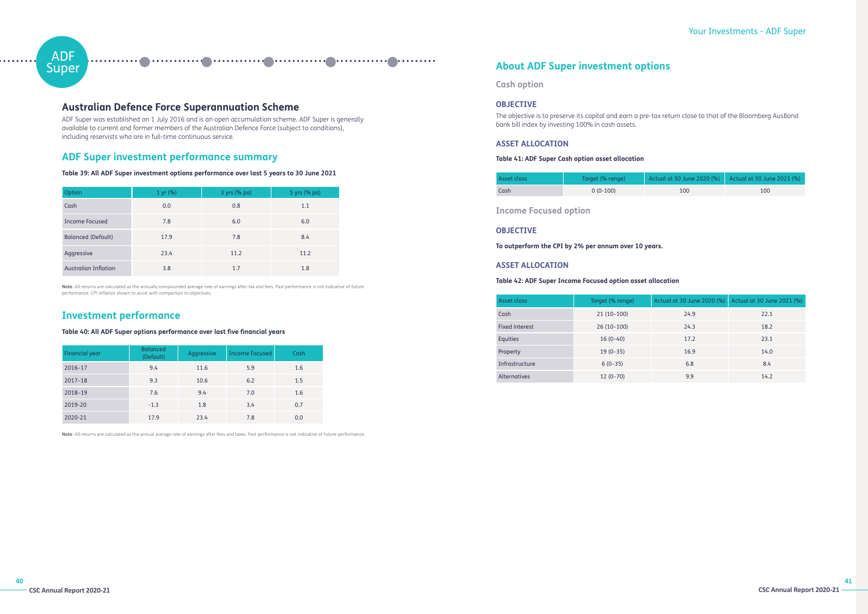# ADF **Super**

# Your Investments - ADF Super

# **Australian Defence Force Superannuation Scheme**

ADF Super was established on 1 July 2016 and is an open accumulation scheme. ADF Super is generally available to current and former members of the Australian Defence Force (subject to conditions), including reservists who are in full-time continuous service.

# **ADF Super investment performance summary**

# **Table 39: All ADF Super investment options performance over last 5 years to 30 June 2021**

| Option                      | 1 yr (%) | 3 yrs (% pa) | 5 yrs (% pa) |
|-----------------------------|----------|--------------|--------------|
| Cash                        | 0.0      | 0.8          | 1.1          |
| Income Focused              | 7.8      | 6.0          | 6.0          |
| <b>Balanced (Default)</b>   | 17.9     | 7.8          | 8.4          |
| Aggressive                  | 23.4     | 11.2         | 11.2         |
| <b>Australian Inflation</b> | 3.8      | 1.7          | 1.8          |

**Note**: All returns are calculated as the annually compounded average rate of earnings after tax and fees. Past performance is not indicative of future performance. CPI inflation shown to assist with comparison to objectives.

# **Investment performance**

# **Table 40: All ADF Super options performance over last five financial years**

| Financial year | <b>Balanced</b><br>(Default) | Aggressive | <b>Income Focused</b> | Cash |
|----------------|------------------------------|------------|-----------------------|------|
| 2016-17        | 9.4                          | 11.6       | 5.9                   | 1.6  |
| $2017 - 18$    | 9.3                          | 10.6       | 6.2                   | 1.5  |
| 2018-19        | 7.6                          | 9.4        | 7.0                   | 1.6  |
| 2019-20        | $-1.3$                       | 1.8        | 3.4                   | 0.7  |
| 2020-21        | 17.9                         | 23.4       | 7.8                   | 0.0  |

**Note**: All returns are calculated as the annual average rate of earnings after fees and taxes. Past performance is not indicative of future performance.

# **About ADF Super investment options**

**Cash option**

# **OBJECTIVE**

The objective is to preserve its capital and earn a pre-tax return close to that of the Bloomberg AusBond bank bill index by investing 100% in cash assets.

# **ASSET ALLOCATION**

# **Table 41: ADF Super Cash option asset allocation**

| Asset class | Target (% range) | Actual at 30 June 2020 (%) Actual at 30 June 2021 (%) |     |
|-------------|------------------|-------------------------------------------------------|-----|
| Cash        | $0(0-100)$       | 100                                                   | 100 |

**Income Focused option**

# **OBJECTIVE**

**To outperform the CPI by 2% per annum over 10 years.**

# **ASSET ALLOCATION**

# **Table 42: ADF Super Income Focused option asset allocation**

| Asset class           | Target (% range) | Actual at 30 June 2020 (%) | Actual at 30 June 2021 (%) |
|-----------------------|------------------|----------------------------|----------------------------|
| Cash                  | $21(10-100)$     | 24.9                       | 22.1                       |
| <b>Fixed interest</b> | $26(10-100)$     | 24.3                       | 18.2                       |
| <b>Equities</b>       | $16(0-40)$       | 17.2                       | 23.1                       |
| Property              | $19(0-35)$       | 16.9                       | 14.0                       |
| Infrastructure        | $6(0-35)$        | 6.8                        | 8.4                        |
| <b>Alternatives</b>   | $12(0-70)$       | 9.9                        | 14.2                       |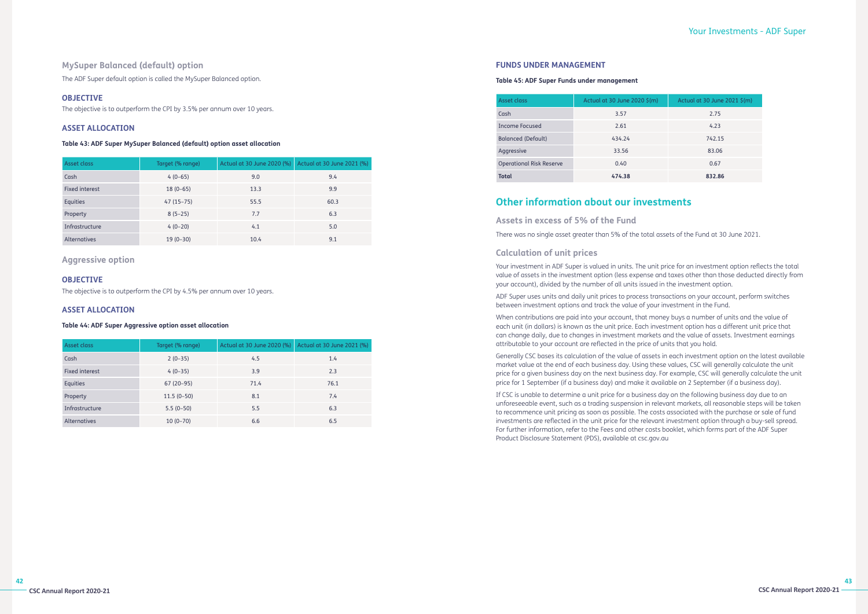# **MySuper Balanced (default) option**

The ADF Super default option is called the MySuper Balanced option.

# **OBJECTIVE**

The objective is to outperform the CPI by 3.5% per annum over 10 years.

# **ASSET ALLOCATION**

# **Table 43: ADF Super MySuper Balanced (default) option asset allocation**

| Asset class    | Target (% range) | Actual at 30 June 2020 (%) | Actual at 30 June 2021 (%) |
|----------------|------------------|----------------------------|----------------------------|
| Cash           | $4(0-65)$        | 9.0                        | 9.4                        |
| Fixed interest | $18(0-65)$       | 13.3                       | 9.9                        |
| Equities       | $47(15-75)$      | 55.5                       | 60.3                       |
| Property       | $8(5-25)$        | 7.7                        | 6.3                        |
| Infrastructure | $4(0-20)$        | 4.1                        | 5.0                        |
| Alternatives   | $19(0-30)$       | 10.4                       | 9.1                        |

# **Aggressive option**

# **OBJECTIVE**

The objective is to outperform the CPI by 4.5% per annum over 10 years.

# **ASSET ALLOCATION**

# **Table 44: ADF Super Aggressive option asset allocation**

| Asset class           | Target (% range) | Actual at 30 June 2020 (%) | Actual at 30 June 2021 (%) |
|-----------------------|------------------|----------------------------|----------------------------|
| Cash                  | $2(0-35)$        | 4.5                        | 1.4                        |
| <b>Fixed interest</b> | $4(0-35)$        | 3.9                        | 2.3                        |
| Equities              | $67(20-95)$      | 71.4                       | 76.1                       |
| Property              | $11.5(0-50)$     | 8.1                        | 7.4                        |
| Infrastructure        | $5.5(0-50)$      | 5.5                        | 6.3                        |
| <b>Alternatives</b>   | $10(0-70)$       | 6.6                        | 6.5                        |

# **FUNDS UNDER MANAGEMENT**

# **Table 45: ADF Super Funds under management**

| Asset class                     | Actual at 30 June 2020 \$(m) | Actual at 30 June 2021 \$(m) |
|---------------------------------|------------------------------|------------------------------|
| Cash                            | 3.57                         | 2.75                         |
| Income Focused                  | 2.61                         | 4.23                         |
| <b>Balanced (Default)</b>       | 434.24                       | 742.15                       |
| Aggressive                      | 33.56                        | 83.06                        |
| <b>Operational Risk Reserve</b> | 0.40                         | 0.67                         |
| Total                           | 474.38                       | 832.86                       |

# **Other information about our investments**

# **Assets in excess of 5% of the Fund**

There was no single asset greater than 5% of the total assets of the Fund at 30 June 2021.

# **Calculation of unit prices**

Your investment in ADF Super is valued in units. The unit price for an investment option reflects the total value of assets in the investment option (less expense and taxes other than those deducted directly from your account), divided by the number of all units issued in the investment option.

ADF Super uses units and daily unit prices to process transactions on your account, perform switches between investment options and track the value of your investment in the Fund.

When contributions are paid into your account, that money buys a number of units and the value of each unit (in dollars) is known as the unit price. Each investment option has a different unit price that can change daily, due to changes in investment markets and the value of assets. Investment earnings attributable to your account are reflected in the price of units that you hold.

Generally CSC bases its calculation of the value of assets in each investment option on the latest available market value at the end of each business day. Using these values, CSC will generally calculate the unit price for a given business day on the next business day. For example, CSC will generally calculate the unit price for 1 September (if a business day) and make it available on 2 September (if a business day).

If CSC is unable to determine a unit price for a business day on the following business day due to an unforeseeable event, such as a trading suspension in relevant markets, all reasonable steps will be taken to recommence unit pricing as soon as possible. The costs associated with the purchase or sale of fund investments are reflected in the unit price for the relevant investment option through a buy-sell spread. For further information, refer to the Fees and other costs booklet, which forms part of the ADF Super Product Disclosure Statement (PDS), available at csc.gov.au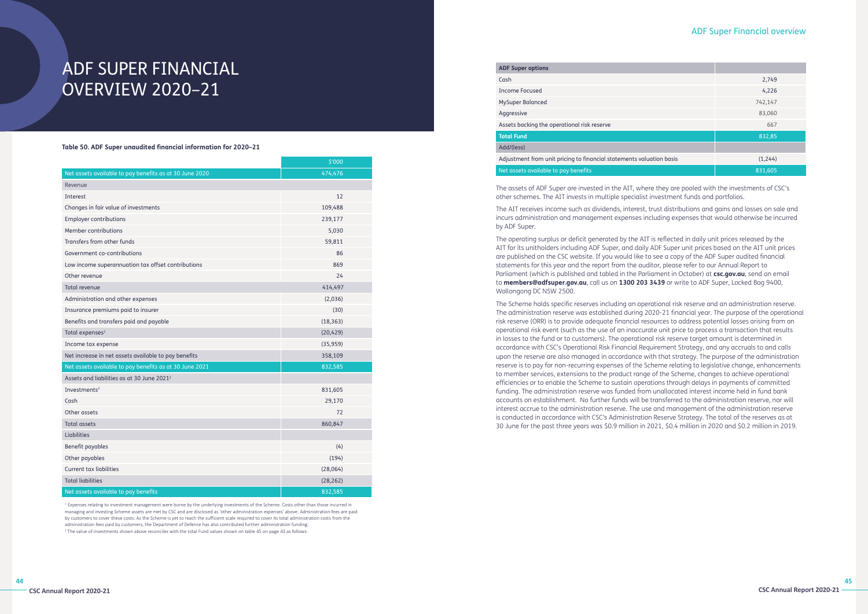# ADF SUPER FINANCIAL OVERVIEW 2020–21

**Table 50. ADF Super unaudited financial information for 2020–21**

|                                                         | \$'000    |  |
|---------------------------------------------------------|-----------|--|
| Net assets available to pay benefits as at 30 June 2020 | 474,476   |  |
| Revenue                                                 |           |  |
| Interest                                                | 12        |  |
| Changes in fair value of investments                    | 109,488   |  |
| <b>Employer contributions</b>                           | 239,177   |  |
| Member contributions                                    | 5,030     |  |
| Transfers from other funds                              | 59,811    |  |
| Government co-contributions                             | 86        |  |
| Low income superannuation tax offset contributions      | 869       |  |
| Other revenue                                           | 24        |  |
| <b>Total revenue</b>                                    | 414,497   |  |
| Administration and other expenses                       | (2,036)   |  |
| Insurance premiums paid to insurer                      | (30)      |  |
| Benefits and transfers paid and payable                 | (18, 363) |  |
| Total expenses <sup>1</sup>                             | (20, 429) |  |
| Income tax expense                                      | (35,959)  |  |
| Net increase in net assets available to pay benefits    | 358,109   |  |
| Net assets available to pay benefits as at 30 June 2021 | 832,585   |  |
| Assets and liabilities as at 30 June 2021 <sup>2</sup>  |           |  |
| Investments <sup>2</sup>                                | 831,605   |  |
| Cash                                                    | 29,170    |  |
| Other assets                                            | 72        |  |
| <b>Total assets</b>                                     | 860,847   |  |
| Liabilities                                             |           |  |
| Benefit payables                                        | (4)       |  |
| Other payables                                          | (194)     |  |
| <b>Current tax liabilities</b>                          | (28,064)  |  |
| <b>Total liabilities</b>                                | (28, 262) |  |
| Net assets available to pay benefits                    | 832,585   |  |

<sup>1</sup> Expenses relating to investment management were borne by the underlying investments of the Scheme. Costs other than those incurred in managing and investing Scheme assets are met by CSC and are disclosed as 'other administration expenses' above. Administration fees are paid by customers to cover these costs. As the Scheme is yet to reach the sufficient scale required to cover its total administration costs from the administration fees paid by customers, the Department of Defence has also contributed further administration funding; 2 The value of investments shown above reconciles with the total Fund values shown on table 45 on page 43 as follows:

# ADF Super Financial overview

| <b>ADF Super options</b>                                             |         |  |
|----------------------------------------------------------------------|---------|--|
| Cash                                                                 | 2,749   |  |
| <b>Income Focused</b>                                                | 4,226   |  |
| MySuper Balanced                                                     | 742,147 |  |
| Aggressive                                                           | 83,060  |  |
| Assets backing the operational risk reserve                          | 667     |  |
| <b>Total Fund</b>                                                    | 832,85  |  |
| Add/(less)                                                           |         |  |
| Adjustment from unit pricing to financial statements valuation basis | (1,244) |  |
| Net assets available to pay benefits                                 | 831,605 |  |
|                                                                      |         |  |

The assets of ADF Super are invested in the AIT, where they are pooled with the investments of CSC's other schemes. The AIT invests in multiple specialist investment funds and portfolios.

The AIT receives income such as dividends, interest, trust distributions and gains and losses on sale and incurs administration and management expenses including expenses that would otherwise be incurred by ADF Super.

The operating surplus or deficit generated by the AIT is reflected in daily unit prices released by the AIT for its unitholders including ADF Super, and daily ADF Super unit prices based on the AIT unit prices are published on the CSC website. If you would like to see a copy of the ADF Super audited financial statements for this year and the report from the auditor, please refer to our Annual Report to Parliament (which is published and tabled in the Parliament in October) at **csc.gov.au**, send an email to **members@adfsuper.gov.au**, call us on **1300 203 3439** or write to ADF Super, Locked Bag 9400, Wollongong DC NSW 2500.

The Scheme holds specific reserves including an operational risk reserve and an administration reserve. The administration reserve was established during 2020-21 financial year. The purpose of the operational risk reserve (ORR) is to provide adequate financial resources to address potential losses arising from an operational risk event (such as the use of an inaccurate unit price to process a transaction that results in losses to the fund or to customers). The operational risk reserve target amount is determined in accordance with CSC's Operational Risk Financial Requirement Strategy, and any accruals to and calls upon the reserve are also managed in accordance with that strategy. The purpose of the administration reserve is to pay for non-recurring expenses of the Scheme relating to legislative change, enhancements to member services, extensions to the product range of the Scheme, changes to achieve operational efficiencies or to enable the Scheme to sustain operations through delays in payments of committed funding. The administration reserve was funded from unallocated interest income held in fund bank accounts on establishment. No further funds will be transferred to the administration reserve, nor will interest accrue to the administration reserve. The use and management of the administration reserve is conducted in accordance with CSC's Administration Reserve Strategy. The total of the reserves as at 30 June for the past three years was \$0.9 million in 2021, \$0.4 million in 2020 and \$0.2 million in 2019.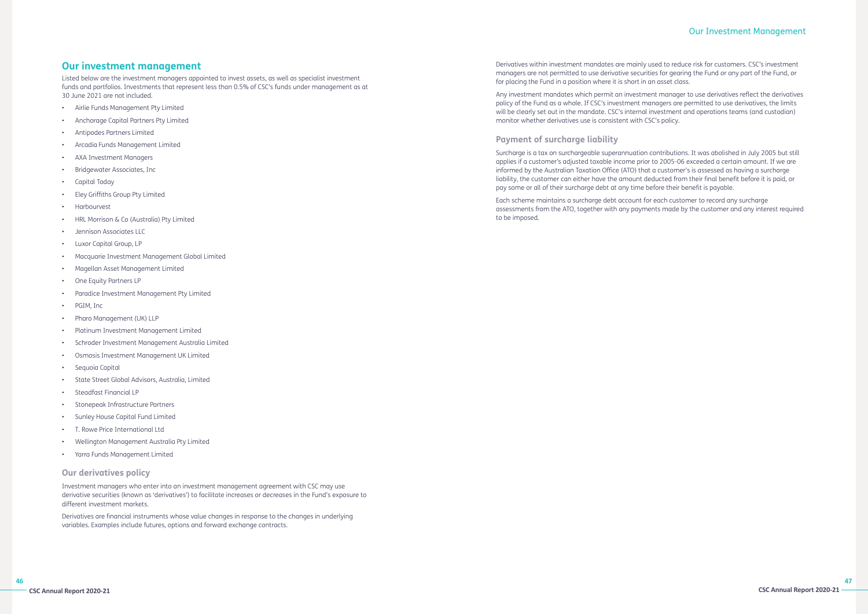# **Our investment management**

Listed below are the investment managers appointed to invest assets, as well as specialist investment funds and portfolios. Investments that represent less than 0.5% of CSC's funds under management as at 30 June 2021 are not included.

- Airlie Funds Management Pty Limited
- Anchorage Capital Partners Pty Limited
- Antipodes Partners Limited
- Arcadia Funds Management Limited
- AXA Investment Managers
- Bridgewater Associates, Inc
- Capital Today
- Eley Griffiths Group Pty Limited
- **Harbourvest**
- HRL Morrison & Co (Australia) Pty Limited
- Jennison Associates LLC
- Luxor Capital Group, LP
- Macquarie Investment Management Global Limited
- Magellan Asset Management Limited
- One Equity Partners LP
- Paradice Investment Management Pty Limited
- PGIM, Inc
- Pharo Management (UK) LLP
- Platinum Investment Management Limited
- Schroder Investment Management Australia Limited
- Osmosis Investment Management UK Limited
- Sequoia Capital
- State Street Global Advisors, Australia, Limited
- Steadfast Financial LP
- Stonepeak Infrastructure Partners
- Sunley House Capital Fund Limited
- T. Rowe Price International Ltd
- Wellington Management Australia Pty Limited
- Yarra Funds Management Limited

# **Our derivatives policy**

Investment managers who enter into an investment management agreement with CSC may use derivative securities (known as 'derivatives') to facilitate increases or decreases in the Fund's exposure to different investment markets.

Derivatives are financial instruments whose value changes in response to the changes in underlying variables. Examples include futures, options and forward exchange contracts.

# Our Investment Management

Derivatives within investment mandates are mainly used to reduce risk for customers. CSC's investment managers are not permitted to use derivative securities for gearing the Fund or any part of the Fund, or for placing the Fund in a position where it is short in an asset class.

Any investment mandates which permit an investment manager to use derivatives reflect the derivatives policy of the Fund as a whole. If CSC's investment managers are permitted to use derivatives, the limits will be clearly set out in the mandate. CSC's internal investment and operations teams (and custodian) monitor whether derivatives use is consistent with CSC's policy.

# **Payment of surcharge liability**

Surcharge is a tax on surchargeable superannuation contributions. It was abolished in July 2005 but still applies if a customer's adjusted taxable income prior to 2005-06 exceeded a certain amount. If we are informed by the Australian Taxation Office (ATO) that a customer's is assessed as having a surcharge liability, the customer can either have the amount deducted from their final benefit before it is paid, or pay some or all of their surcharge debt at any time before their benefit is payable.

Each scheme maintains a surcharge debt account for each customer to record any surcharge assessments from the ATO, together with any payments made by the customer and any interest required to be imposed.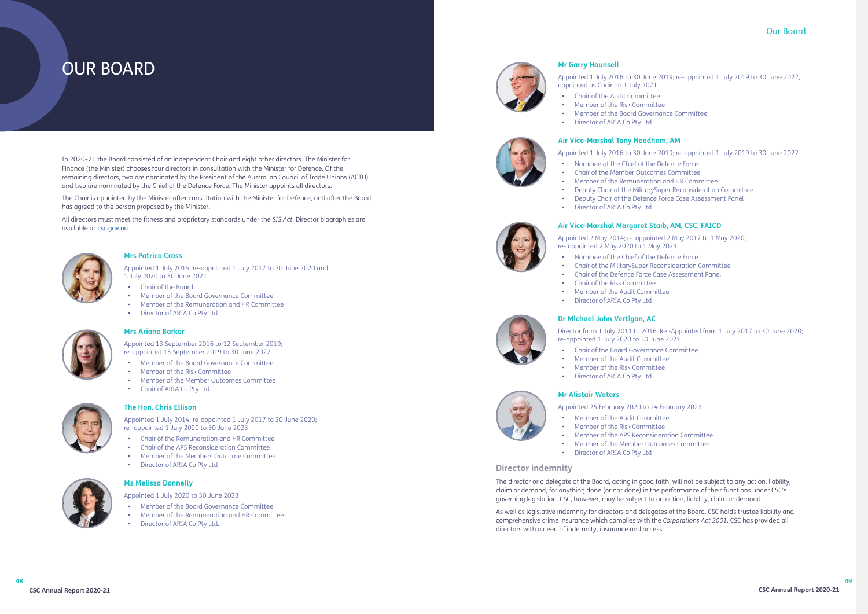**48**









# OUR BOARD

# Our Board

# **Mr Garry Hounsell**

Appointed 1 July 2016 to 30 June 2019; re-appointed 1 July 2019 to 30 June 2022, appointed as Chair on 1 July 2021 • Chair of the Audit Committee • Member of the Risk Committee • Member of the Board Governance Committee

- 
- 
- 
- Director of ARIA Co Pty Ltd

# **Air Vice-Marshal Tony Needham, AM**

Appointed 1 July 2016 to 30 June 2019; re-appointed 1 July 2019 to 30 June 2022 • Nominee of the Chief of the Defence Force • Chair of the Member Outcomes Committee • Member of the Remuneration and HR Committee • Deputy Chair of the MilitarySuper Reconsideration Committee • Deputy Chair of the Defence Force Case Assessment Panel

- 
- 
- 
- 
- Director of ARIA Co Pty Ltd

# **Air Vice-Marshal Margaret Staib, AM, CSC, FAICD**

Appointed 2 May 2014; re-appointed 2 May 2017 to 1 May 2020; re- appointed 2 May 2020 to 1 May 2023 • Nominee of the Chief of the Defence Force • Chair of the MilitarySuper Reconsideration Committee • Chair of the Defence Force Case Assessment Panel

- 
- 
- 
- Chair of the Risk Committee
	-
	- Member of the Audit Committee
	- Director of ARIA Co Pty Ltd

# **Dr Michael John Vertigan, AC**

Director from 1 July 2011 to 2016. Re -Appointed from 1 July 2017 to 30 June 2020; re-appointed 1 July 2020 to 30 June 2021 • Chair of the Board Governance Committee • Member of the Audit Committee • Member of the Risk Committee

- 
- 
- 
- Director of ARIA Co Pty Ltd

# **Mr Alistair Waters**

Appointed 25 February 2020 to 24 February 2023

- Member of the Audit Committee
- Member of the Risk Committee
- Member of the APS Reconsideration Committee
- Member of the Member Outcomes Committee
- Director of ARIA Co Pty Ltd

# **Director indemnity**

The director or a delegate of the Board, acting in good faith, will not be subject to any action, liability, claim or demand, for anything done (or not done) in the performance of their functions under CSC's governing legislation. CSC, however, may be subject to an action, liability, claim or demand.

All directors must meet the fitness and proprietary standards under the *SIS Act.* Director biographies are available at **[csc.gov.au](http://www.csc.gov.au)** 



As well as legislative indemnity for directors and delegates of the Board, CSC holds trustee liability and comprehensive crime insurance which complies with the *Corporations Act 2001*. CSC has provided all directors with a deed of indemnity, insurance and access.

# **Mrs Patrica Cross**

Appointed 1 July 2014; re-appointed 1 July 2017 to 30 June 2020 and 1 July 2020 to 30 June 2021

- Chair of the Board
- Member of the Board Governance Committee
- Member of the Remuneration and HR Committee
- Director of ARIA Co Pty Ltd



# **Mrs Ariane Barker**

Appointed 13 September 2016 to 12 September 2019; re-appointed 13 September 2019 to 30 June 2022

- Member of the Board Governance Committee
- Member of the Risk Committee
- Member of the Member Outcomes Committee
- Chair of ARIA Co Pty Ltd



# **The Hon. Chris Ellison**

Appointed 1 July 2014; re-appointed 1 July 2017 to 30 June 2020; re- appointed 1 July 2020 to 30 June 2023

- Chair of the Remuneration and HR Committee
- Chair of the APS Reconsideration Committee
- Member of the Members Outcome Committee
- Director of ARIA Co Pty Ltd



# **Ms Melissa Donnelly**

Appointed 1 July 2020 to 30 June 2023

- Member of the Board Governance Committee
- Member of the Remuneration and HR Committee
- Director of ARIA Co Pty Ltd.



In 2020–21 the Board consisted of an independent Chair and eight other directors. The Minister for Finance (the Minister) chooses four directors in consultation with the Minister for Defence. Of the remaining directors, two are nominated by the President of the Australian Council of Trade Unions (ACTU) and two are nominated by the Chief of the Defence Force. The Minister appoints all directors.

The Chair is appointed by the Minister after consultation with the Minister for Defence, and after the Board has agreed to the person proposed by the Minister.